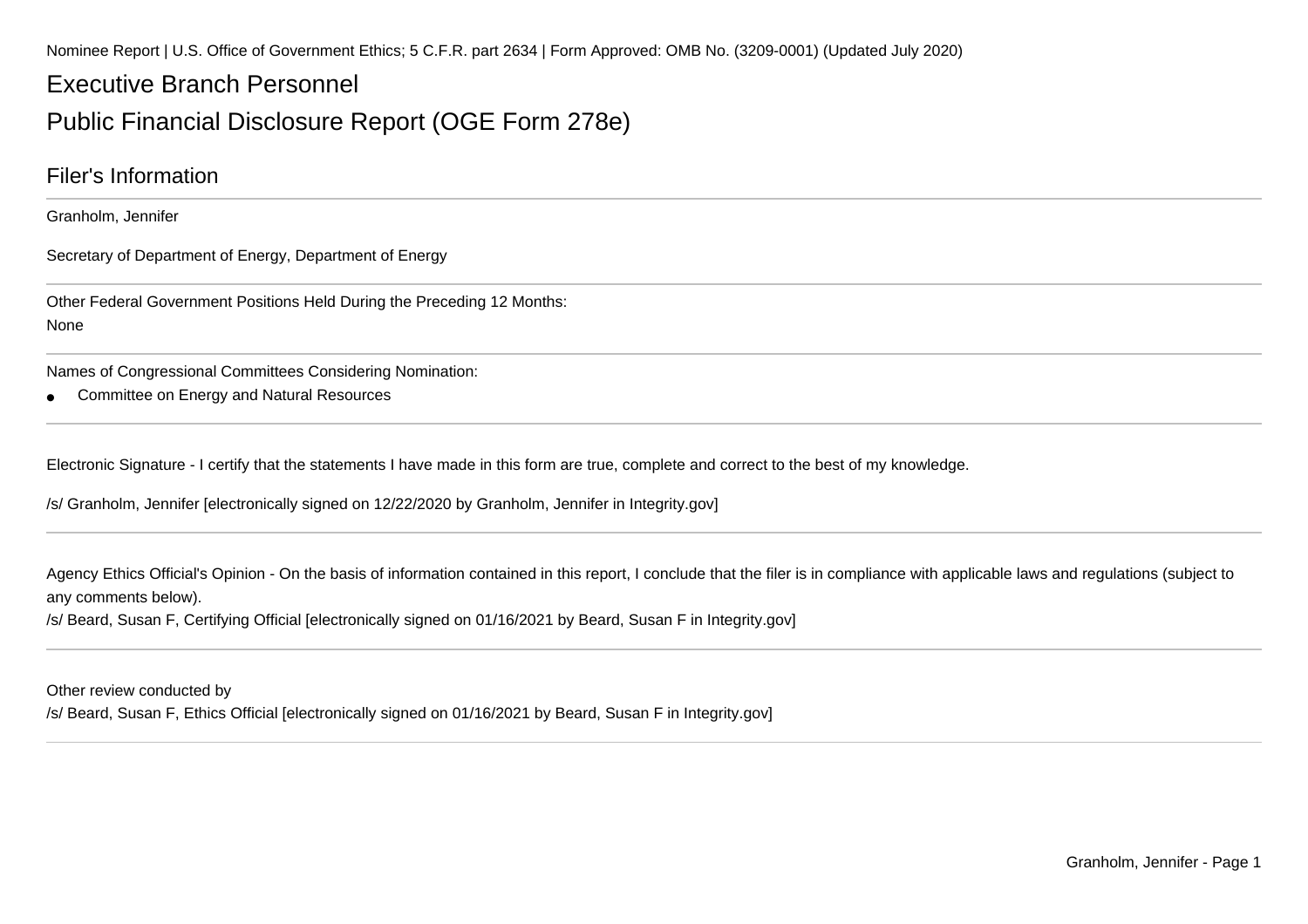Nominee Report | U.S. Office of Government Ethics; 5 C.F.R. part 2634 | Form Approved: OMB No. (3209-0001) (Updated July 2020)

# Executive Branch Personnel

# Public Financial Disclosure Report (OGE Form 278e)

### Filer's Information

Granholm, Jennifer

Secretary of Department of Energy, Department of Energy

Other Federal Government Positions Held During the Preceding 12 Months:None

Names of Congressional Committees Considering Nomination:

●Committee on Energy and Natural Resources

Electronic Signature - I certify that the statements I have made in this form are true, complete and correct to the best of my knowledge.

/s/ Granholm, Jennifer [electronically signed on 12/22/2020 by Granholm, Jennifer in Integrity.gov]

Agency Ethics Official's Opinion - On the basis of information contained in this report, I conclude that the filer is in compliance with applicable laws and regulations (subject to any comments below).

/s/ Beard, Susan F, Certifying Official [electronically signed on 01/16/2021 by Beard, Susan F in Integrity.gov]

Other review conducted by

/s/ Beard, Susan F, Ethics Official [electronically signed on 01/16/2021 by Beard, Susan F in Integrity.gov]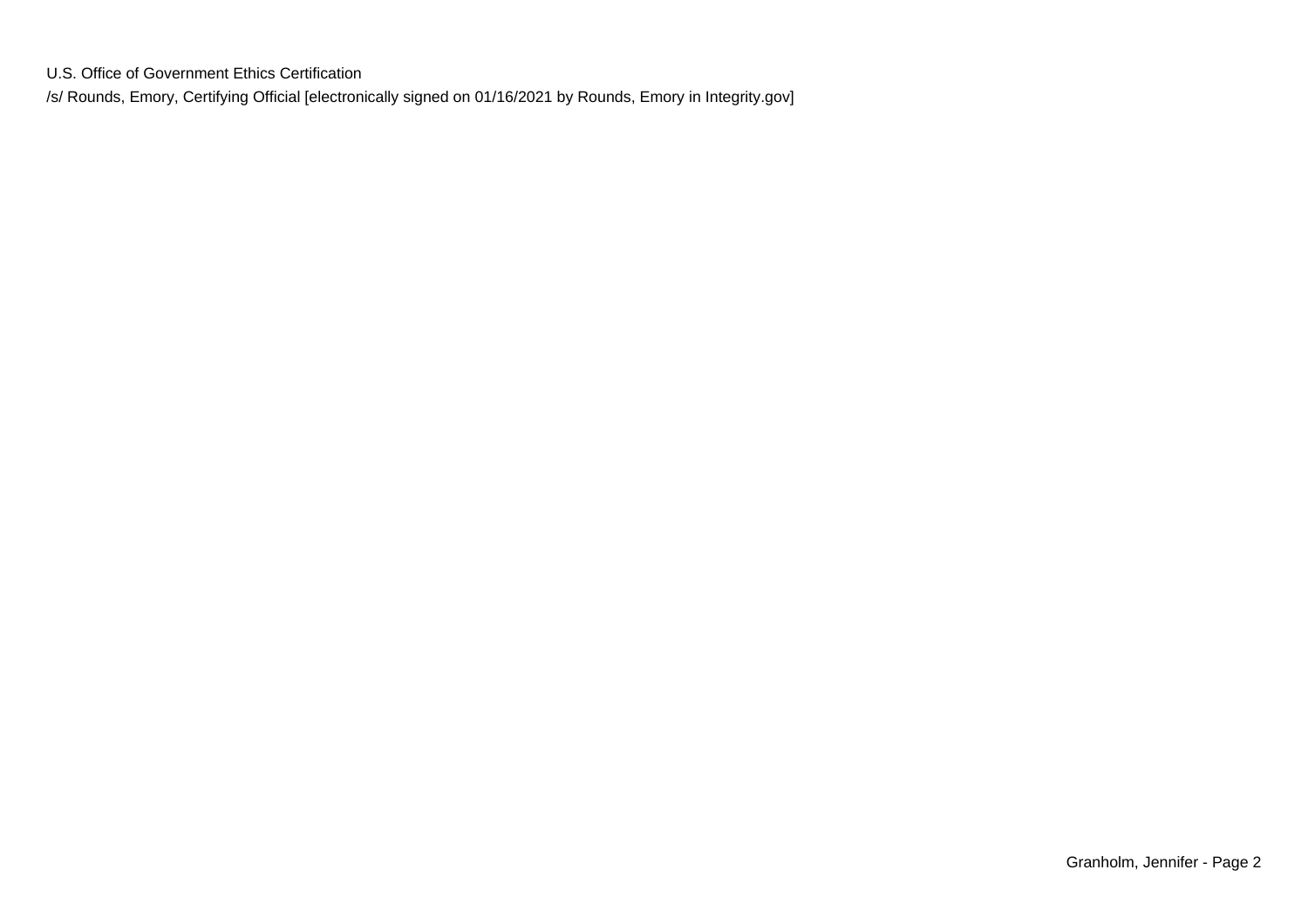U.S. Office of Government Ethics Certification

/s/ Rounds, Emory, Certifying Official [electronically signed on 01/16/2021 by Rounds, Emory in Integrity.gov]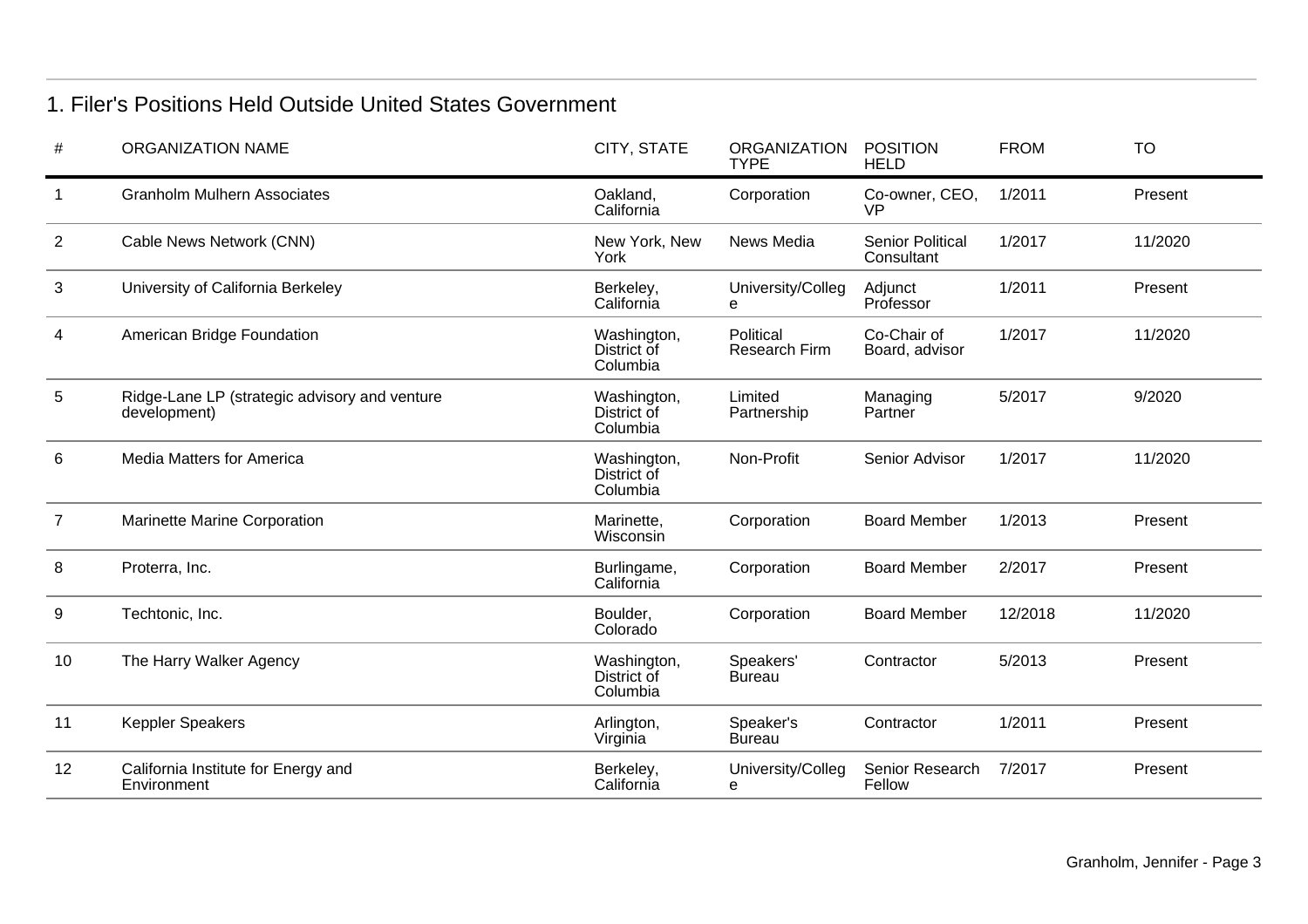## 1. Filer's Positions Held Outside United States Government

| #              | <b>ORGANIZATION NAME</b>                                      | CITY, STATE                            | <b>ORGANIZATION</b><br><b>TYPE</b> | <b>POSITION</b><br><b>HELD</b>        | <b>FROM</b> | <b>TO</b> |
|----------------|---------------------------------------------------------------|----------------------------------------|------------------------------------|---------------------------------------|-------------|-----------|
|                | <b>Granholm Mulhern Associates</b>                            | Oakland,<br>California                 | Corporation                        | Co-owner, CEO,<br><b>VP</b>           | 1/2011      | Present   |
| $\overline{2}$ | Cable News Network (CNN)                                      | New York, New<br>York                  | News Media                         | <b>Senior Political</b><br>Consultant | 1/2017      | 11/2020   |
| 3              | University of California Berkeley                             | Berkeley,<br>California                | University/Colleg<br>е             | Adjunct<br>Professor                  | 1/2011      | Present   |
| 4              | American Bridge Foundation                                    | Washington,<br>District of<br>Columbia | Political<br><b>Research Firm</b>  | Co-Chair of<br>Board, advisor         | 1/2017      | 11/2020   |
| 5              | Ridge-Lane LP (strategic advisory and venture<br>development) | Washington,<br>District of<br>Columbia | Limited<br>Partnership             | Managing<br>Partner                   | 5/2017      | 9/2020    |
| 6              | Media Matters for America                                     | Washington,<br>District of<br>Columbia | Non-Profit                         | Senior Advisor                        | 1/2017      | 11/2020   |
| 7              | Marinette Marine Corporation                                  | Marinette,<br>Wisconsin                | Corporation                        | <b>Board Member</b>                   | 1/2013      | Present   |
| 8              | Proterra, Inc.                                                | Burlingame,<br>California              | Corporation                        | <b>Board Member</b>                   | 2/2017      | Present   |
| 9              | Techtonic, Inc.                                               | Boulder,<br>Colorado                   | Corporation                        | <b>Board Member</b>                   | 12/2018     | 11/2020   |
| 10             | The Harry Walker Agency                                       | Washington,<br>District of<br>Columbia | Speakers'<br>Bureau                | Contractor                            | 5/2013      | Present   |
| 11             | <b>Keppler Speakers</b>                                       | Arlington,<br>Virginia                 | Speaker's<br><b>Bureau</b>         | Contractor                            | 1/2011      | Present   |
| 12             | California Institute for Energy and<br>Environment            | Berkeley,<br>California                | University/Colleg<br>е             | Senior Research<br>Fellow             | 7/2017      | Present   |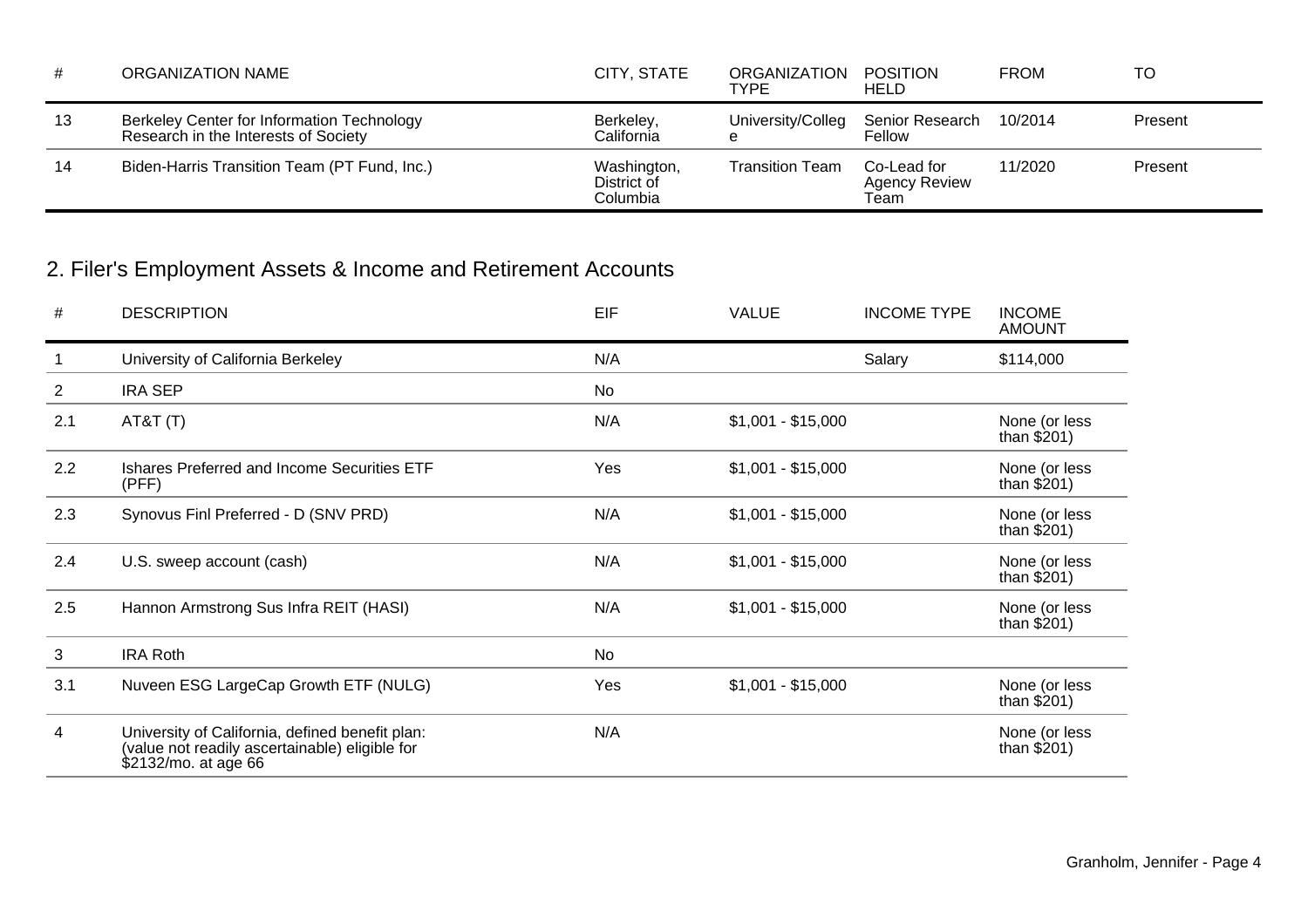| #  | ORGANIZATION NAME                                                                  | CITY, STATE                            | ORGANIZATION POSITION<br><b>TYPE</b> | HELD                                | <b>FROM</b> | TO      |
|----|------------------------------------------------------------------------------------|----------------------------------------|--------------------------------------|-------------------------------------|-------------|---------|
| 13 | Berkeley Center for Information Technology<br>Research in the Interests of Society | Berkeley,<br>California                | University/Colleg<br>e               | Senior Research 10/2014<br>Fellow   |             | Present |
| 14 | Biden-Harris Transition Team (PT Fund, Inc.)                                       | Washington,<br>District of<br>Columbia | <b>Transition Team</b>               | Co-Lead for<br><b>Agency Review</b> | 11/2020     | Present |

# 2. Filer's Employment Assets & Income and Retirement Accounts

| #              | <b>DESCRIPTION</b>                                                                                                        | EIF | <b>VALUE</b>       | <b>INCOME TYPE</b> | <b>INCOME</b><br><b>AMOUNT</b> |
|----------------|---------------------------------------------------------------------------------------------------------------------------|-----|--------------------|--------------------|--------------------------------|
| 1              | University of California Berkeley                                                                                         | N/A |                    | Salary             | \$114,000                      |
| $\overline{2}$ | <b>IRA SEP</b>                                                                                                            | No  |                    |                    |                                |
| 2.1            | AT&T(T)                                                                                                                   | N/A | $$1,001 - $15,000$ |                    | None (or less<br>than $$201)$  |
| 2.2            | Ishares Preferred and Income Securities ETF<br>(PFF)                                                                      | Yes | $$1,001 - $15,000$ |                    | None (or less<br>than $$201)$  |
| 2.3            | Synovus Finl Preferred - D (SNV PRD)                                                                                      | N/A | $$1,001 - $15,000$ |                    | None (or less<br>than $$201)$  |
| 2.4            | U.S. sweep account (cash)                                                                                                 | N/A | $$1,001 - $15,000$ |                    | None (or less<br>than $$201)$  |
| 2.5            | Hannon Armstrong Sus Infra REIT (HASI)                                                                                    | N/A | $$1,001 - $15,000$ |                    | None (or less<br>than $$201)$  |
| 3              | <b>IRA Roth</b>                                                                                                           | No  |                    |                    |                                |
| 3.1            | Nuveen ESG LargeCap Growth ETF (NULG)                                                                                     | Yes | $$1,001 - $15,000$ |                    | None (or less<br>than $$201)$  |
| 4              | University of California, defined benefit plan:<br>(value not readily ascertainable) eligible for<br>\$2132/mo. at age 66 | N/A |                    |                    | None (or less<br>than $$201)$  |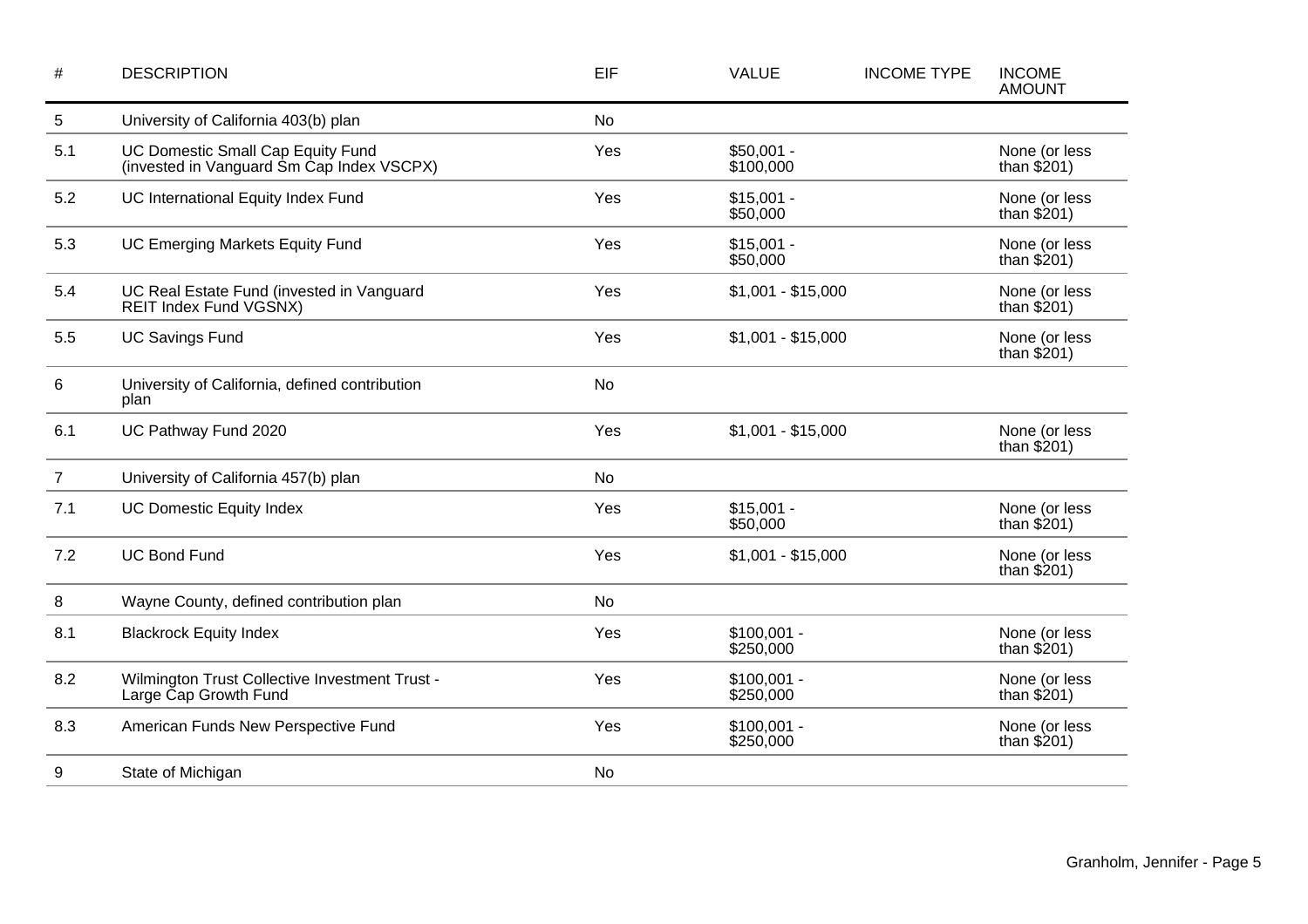| $\#$           | <b>DESCRIPTION</b>                                                             | EIF       | <b>VALUE</b>              | <b>INCOME TYPE</b> | <b>INCOME</b><br><b>AMOUNT</b> |
|----------------|--------------------------------------------------------------------------------|-----------|---------------------------|--------------------|--------------------------------|
| 5              | University of California 403(b) plan                                           | <b>No</b> |                           |                    |                                |
| 5.1            | UC Domestic Small Cap Equity Fund<br>(invested in Vanguard Sm Cap Index VSCPX) | Yes       | $$50,001 -$<br>\$100,000  |                    | None (or less<br>than $$201)$  |
| 5.2            | UC International Equity Index Fund                                             | Yes       | $$15,001 -$<br>\$50,000   |                    | None (or less<br>than $$201)$  |
| 5.3            | <b>UC Emerging Markets Equity Fund</b>                                         | Yes       | $$15,001 -$<br>\$50,000   |                    | None (or less<br>than $$201)$  |
| 5.4            | UC Real Estate Fund (invested in Vanguard<br>REIT Index Fund VGSNX)            | Yes       | $$1,001 - $15,000$        |                    | None (or less<br>than $$201)$  |
| 5.5            | <b>UC Savings Fund</b>                                                         | Yes       | $$1,001 - $15,000$        |                    | None (or less<br>than $$201)$  |
| 6              | University of California, defined contribution<br>plan                         | <b>No</b> |                           |                    |                                |
| 6.1            | UC Pathway Fund 2020                                                           | Yes       | $$1,001 - $15,000$        |                    | None (or less<br>than $$201)$  |
| $\overline{7}$ | University of California 457(b) plan                                           | <b>No</b> |                           |                    |                                |
| 7.1            | <b>UC Domestic Equity Index</b>                                                | Yes       | $$15,001 -$<br>\$50,000   |                    | None (or less<br>than $$201)$  |
| 7.2            | <b>UC Bond Fund</b>                                                            | Yes       | $$1,001 - $15,000$        |                    | None (or less<br>than $$201)$  |
| 8              | Wayne County, defined contribution plan                                        | <b>No</b> |                           |                    |                                |
| 8.1            | <b>Blackrock Equity Index</b>                                                  | Yes       | $$100,001 -$<br>\$250,000 |                    | None (or less<br>than $$201)$  |
| 8.2            | Wilmington Trust Collective Investment Trust -<br>Large Cap Growth Fund        | Yes       | $$100,001 -$<br>\$250,000 |                    | None (or less<br>than $$201)$  |
| 8.3            | American Funds New Perspective Fund                                            | Yes       | $$100,001 -$<br>\$250,000 |                    | None (or less<br>than $$201)$  |
| 9              | State of Michigan                                                              | No        |                           |                    |                                |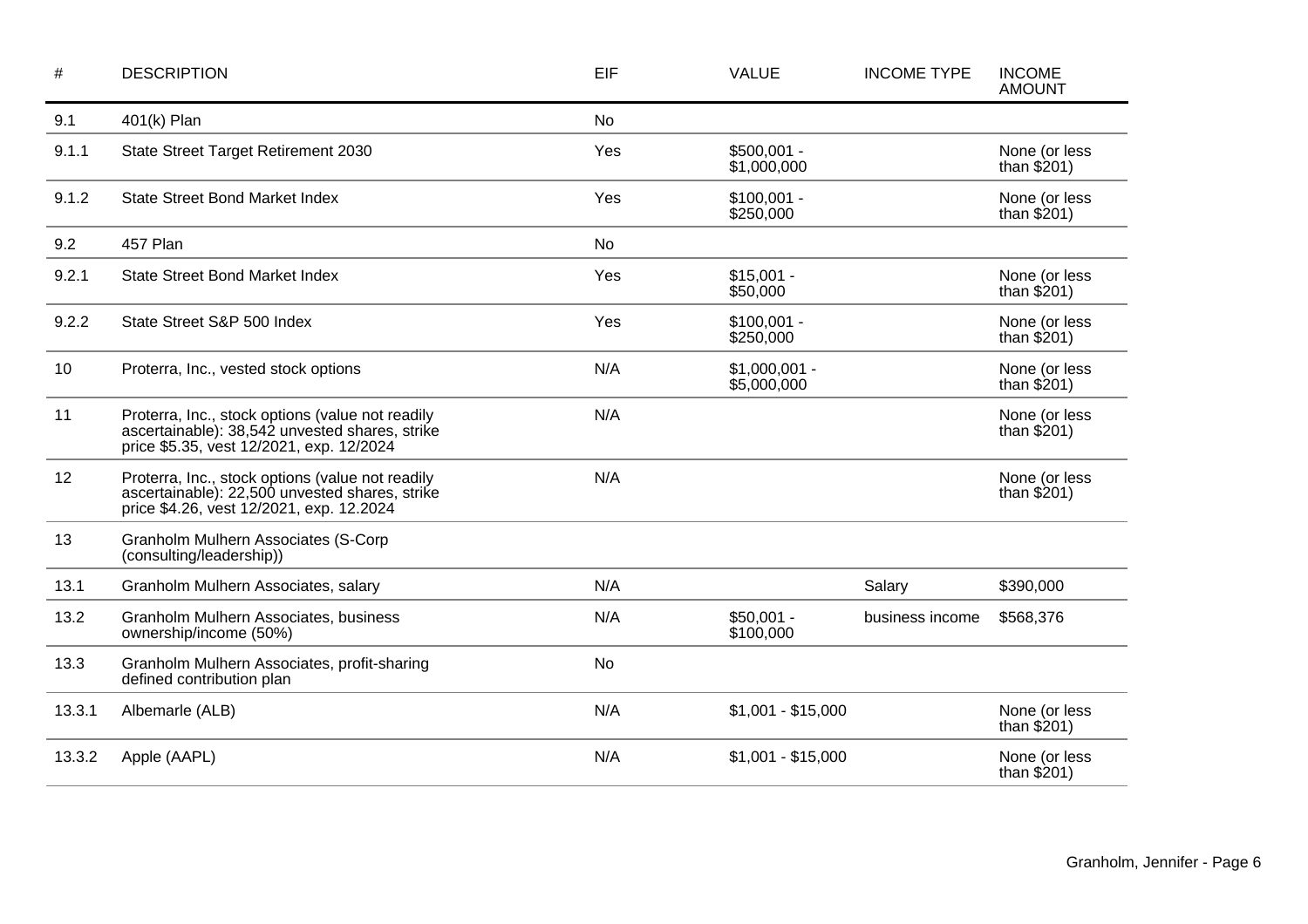| #      | <b>DESCRIPTION</b>                                                                                                                             | EIF       | <b>VALUE</b>                  | <b>INCOME TYPE</b> | <b>INCOME</b><br><b>AMOUNT</b> |
|--------|------------------------------------------------------------------------------------------------------------------------------------------------|-----------|-------------------------------|--------------------|--------------------------------|
| 9.1    | 401(k) Plan                                                                                                                                    | No        |                               |                    |                                |
| 9.1.1  | State Street Target Retirement 2030                                                                                                            | Yes       | $$500,001 -$<br>\$1,000,000   |                    | None (or less<br>than $$201)$  |
| 9.1.2  | <b>State Street Bond Market Index</b>                                                                                                          | Yes       | $$100,001 -$<br>\$250,000     |                    | None (or less<br>than $$201)$  |
| 9.2    | 457 Plan                                                                                                                                       | <b>No</b> |                               |                    |                                |
| 9.2.1  | <b>State Street Bond Market Index</b>                                                                                                          | Yes       | $$15,001 -$<br>\$50,000       |                    | None (or less<br>than $$201)$  |
| 9.2.2  | State Street S&P 500 Index                                                                                                                     | Yes       | $$100,001 -$<br>\$250,000     |                    | None (or less<br>than $$201)$  |
| 10     | Proterra, Inc., vested stock options                                                                                                           | N/A       | $$1,000,001 -$<br>\$5,000,000 |                    | None (or less<br>than $$201)$  |
| 11     | Proterra, Inc., stock options (value not readily<br>ascertainable): 38,542 unvested shares, strike<br>price \$5.35, vest 12/2021, exp. 12/2024 | N/A       |                               |                    | None (or less<br>than $$201)$  |
| 12     | Proterra, Inc., stock options (value not readily<br>ascertainable): 22,500 unvested shares, strike<br>price \$4.26, vest 12/2021, exp. 12.2024 | N/A       |                               |                    | None (or less<br>than $$201)$  |
| 13     | Granholm Mulhern Associates (S-Corp<br>(consulting/leadership))                                                                                |           |                               |                    |                                |
| 13.1   | Granholm Mulhern Associates, salary                                                                                                            | N/A       |                               | Salary             | \$390,000                      |
| 13.2   | Granholm Mulhern Associates, business<br>ownership/income (50%)                                                                                | N/A       | $$50,001 -$<br>\$100,000      | business income    | \$568,376                      |
| 13.3   | Granholm Mulhern Associates, profit-sharing<br>defined contribution plan                                                                       | No        |                               |                    |                                |
| 13.3.1 | Albemarle (ALB)                                                                                                                                | N/A       | $$1,001 - $15,000$            |                    | None (or less<br>than $$201)$  |
| 13.3.2 | Apple (AAPL)                                                                                                                                   | N/A       | $$1,001 - $15,000$            |                    | None (or less<br>than $$201)$  |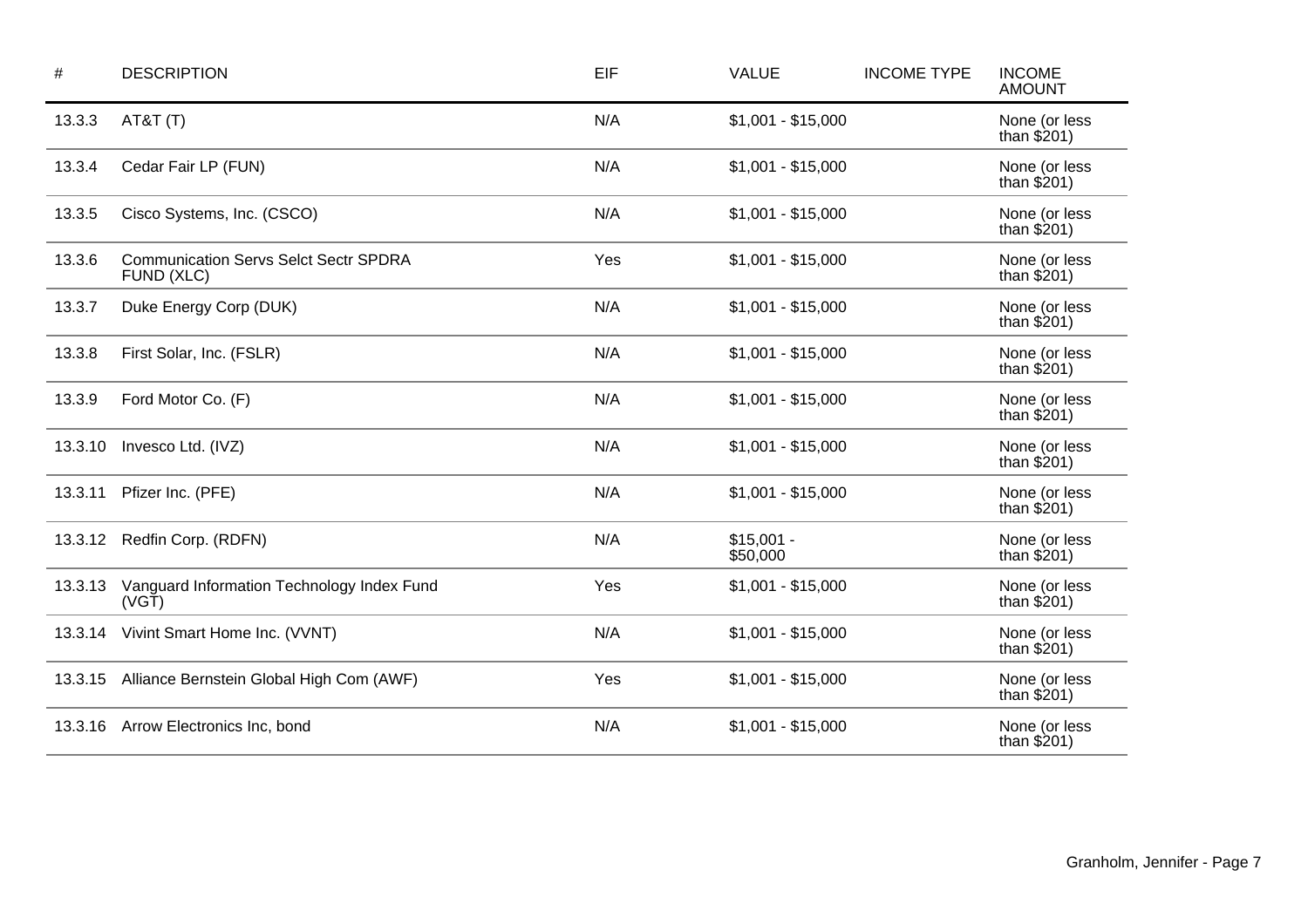| $\#$    | <b>DESCRIPTION</b>                                         | EIF | <b>VALUE</b>            | <b>INCOME TYPE</b> | <b>INCOME</b><br><b>AMOUNT</b> |
|---------|------------------------------------------------------------|-----|-------------------------|--------------------|--------------------------------|
| 13.3.3  | AT&T(T)                                                    | N/A | $$1,001 - $15,000$      |                    | None (or less<br>than $$201)$  |
| 13.3.4  | Cedar Fair LP (FUN)                                        | N/A | $$1,001 - $15,000$      |                    | None (or less<br>than $$201)$  |
| 13.3.5  | Cisco Systems, Inc. (CSCO)                                 | N/A | $$1,001 - $15,000$      |                    | None (or less<br>than $$201)$  |
| 13.3.6  | <b>Communication Servs Selct Sectr SPDRA</b><br>FUND (XLC) | Yes | $$1,001 - $15,000$      |                    | None (or less<br>than $$201)$  |
| 13.3.7  | Duke Energy Corp (DUK)                                     | N/A | $$1,001 - $15,000$      |                    | None (or less<br>than $$201)$  |
| 13.3.8  | First Solar, Inc. (FSLR)                                   | N/A | $$1,001 - $15,000$      |                    | None (or less<br>than $$201)$  |
| 13.3.9  | Ford Motor Co. (F)                                         | N/A | $$1,001 - $15,000$      |                    | None (or less<br>than $$201)$  |
| 13.3.10 | Invesco Ltd. (IVZ)                                         | N/A | $$1,001 - $15,000$      |                    | None (or less<br>than $$201)$  |
| 13.3.11 | Pfizer Inc. (PFE)                                          | N/A | $$1,001 - $15,000$      |                    | None (or less<br>than $$201)$  |
| 13.3.12 | Redfin Corp. (RDFN)                                        | N/A | $$15,001 -$<br>\$50,000 |                    | None (or less<br>than $$201)$  |
| 13.3.13 | Vanguard Information Technology Index Fund<br>(VGT)        | Yes | $$1,001 - $15,000$      |                    | None (or less<br>than $$201)$  |
| 13.3.14 | Vivint Smart Home Inc. (VVNT)                              | N/A | $$1,001 - $15,000$      |                    | None (or less<br>than $$201)$  |
| 13.3.15 | Alliance Bernstein Global High Com (AWF)                   | Yes | $$1,001 - $15,000$      |                    | None (or less<br>than $$201)$  |
| 13.3.16 | Arrow Electronics Inc, bond                                | N/A | $$1,001 - $15,000$      |                    | None (or less<br>than $$201)$  |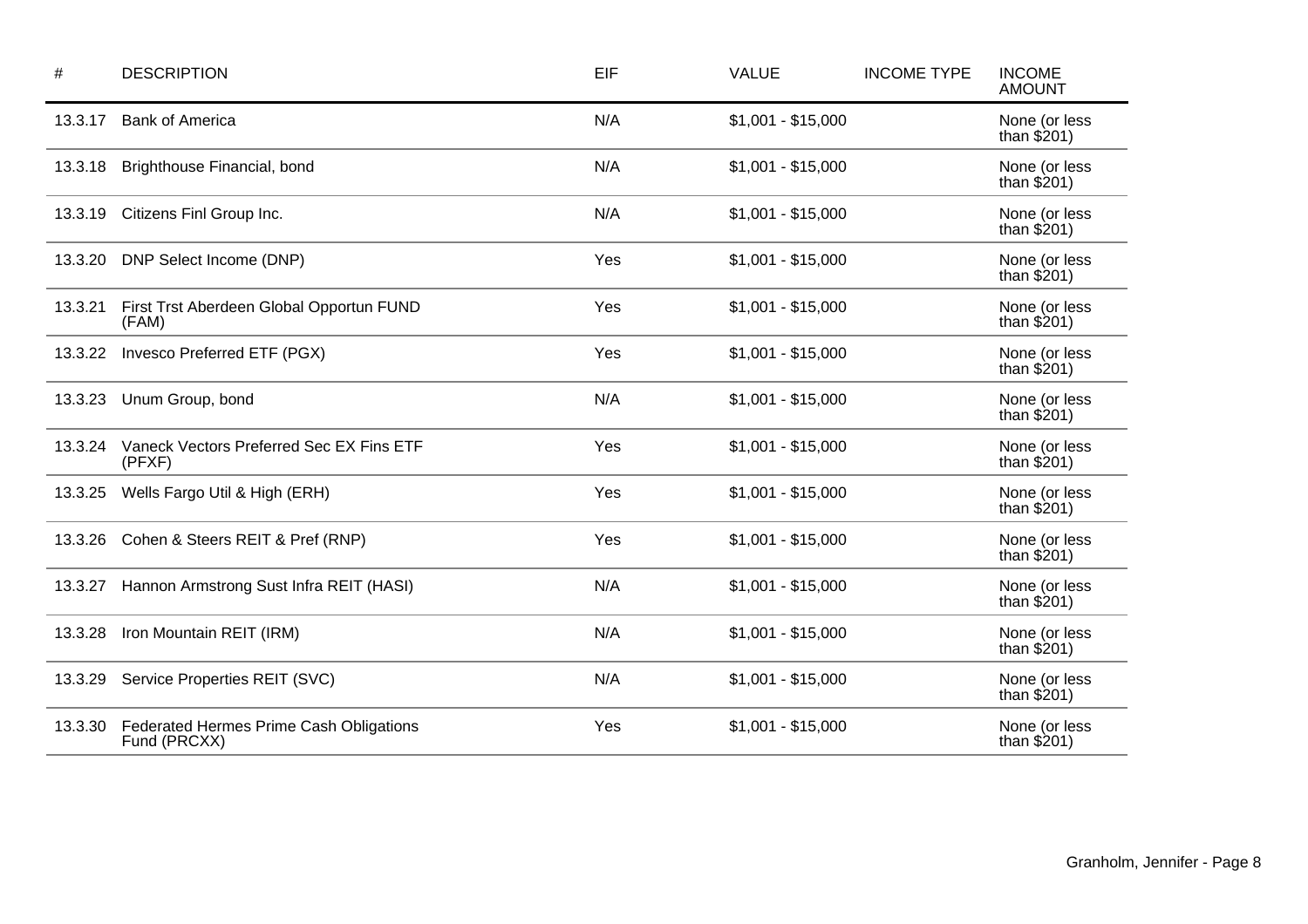| #       | <b>DESCRIPTION</b>                                      | EIF | <b>VALUE</b>       | <b>INCOME TYPE</b> | <b>INCOME</b><br><b>AMOUNT</b> |
|---------|---------------------------------------------------------|-----|--------------------|--------------------|--------------------------------|
| 13.3.17 | <b>Bank of America</b>                                  | N/A | $$1,001 - $15,000$ |                    | None (or less<br>than $$201)$  |
| 13.3.18 | Brighthouse Financial, bond                             | N/A | $$1,001 - $15,000$ |                    | None (or less<br>than $$201)$  |
| 13.3.19 | Citizens Finl Group Inc.                                | N/A | $$1,001 - $15,000$ |                    | None (or less<br>than $$201)$  |
| 13.3.20 | DNP Select Income (DNP)                                 | Yes | $$1,001 - $15,000$ |                    | None (or less<br>than $$201)$  |
| 13.3.21 | First Trst Aberdeen Global Opportun FUND<br>(FAM)       | Yes | $$1,001 - $15,000$ |                    | None (or less<br>than $$201)$  |
| 13.3.22 | Invesco Preferred ETF (PGX)                             | Yes | $$1,001 - $15,000$ |                    | None (or less<br>than $$201)$  |
| 13.3.23 | Unum Group, bond                                        | N/A | $$1,001 - $15,000$ |                    | None (or less<br>than $$201)$  |
| 13.3.24 | Vaneck Vectors Preferred Sec EX Fins ETF<br>(PFXF)      | Yes | $$1,001 - $15,000$ |                    | None (or less<br>than $$201)$  |
| 13.3.25 | Wells Fargo Util & High (ERH)                           | Yes | $$1,001 - $15,000$ |                    | None (or less<br>than $$201)$  |
| 13.3.26 | Cohen & Steers REIT & Pref (RNP)                        | Yes | $$1,001 - $15,000$ |                    | None (or less<br>than $$201)$  |
| 13.3.27 | Hannon Armstrong Sust Infra REIT (HASI)                 | N/A | $$1,001 - $15,000$ |                    | None (or less<br>than $$201)$  |
| 13.3.28 | Iron Mountain REIT (IRM)                                | N/A | $$1,001 - $15,000$ |                    | None (or less<br>than $$201)$  |
| 13.3.29 | Service Properties REIT (SVC)                           | N/A | $$1,001 - $15,000$ |                    | None (or less<br>than $$201)$  |
| 13.3.30 | Federated Hermes Prime Cash Obligations<br>Fund (PRCXX) | Yes | $$1,001 - $15,000$ |                    | None (or less<br>than $$201)$  |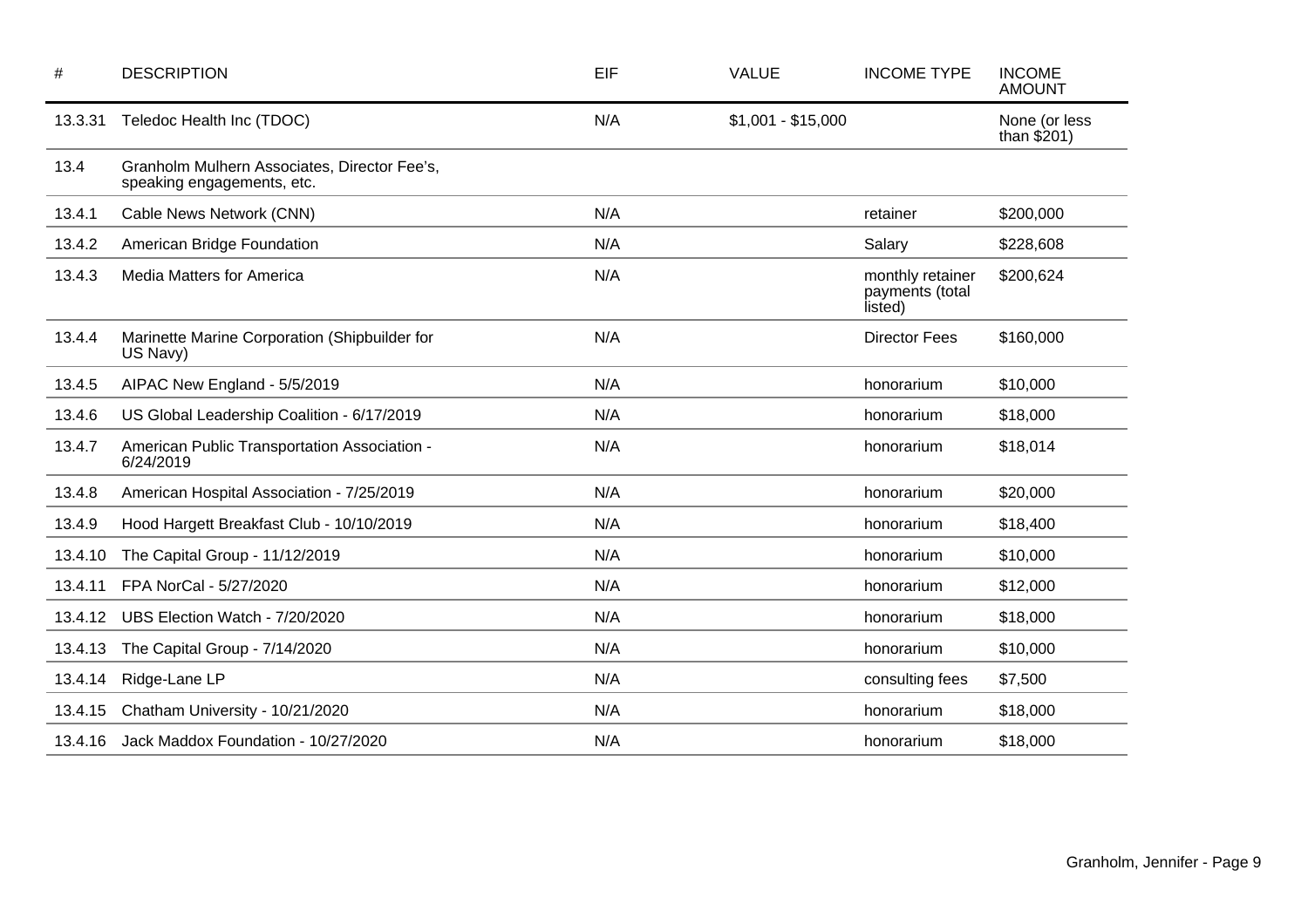| #       | <b>DESCRIPTION</b>                                                         | EIF | <b>VALUE</b>       | <b>INCOME TYPE</b>                             | <b>INCOME</b><br><b>AMOUNT</b> |
|---------|----------------------------------------------------------------------------|-----|--------------------|------------------------------------------------|--------------------------------|
| 13.3.31 | Teledoc Health Inc (TDOC)                                                  | N/A | $$1,001 - $15,000$ |                                                | None (or less<br>than $$201)$  |
| 13.4    | Granholm Mulhern Associates, Director Fee's,<br>speaking engagements, etc. |     |                    |                                                |                                |
| 13.4.1  | Cable News Network (CNN)                                                   | N/A |                    | retainer                                       | \$200,000                      |
| 13.4.2  | American Bridge Foundation                                                 | N/A |                    | Salary                                         | \$228,608                      |
| 13.4.3  | <b>Media Matters for America</b>                                           | N/A |                    | monthly retainer<br>payments (total<br>listed) | \$200,624                      |
| 13.4.4  | Marinette Marine Corporation (Shipbuilder for<br>US Navy)                  | N/A |                    | <b>Director Fees</b>                           | \$160,000                      |
| 13.4.5  | AIPAC New England - 5/5/2019                                               | N/A |                    | honorarium                                     | \$10,000                       |
| 13.4.6  | US Global Leadership Coalition - 6/17/2019                                 | N/A |                    | honorarium                                     | \$18,000                       |
| 13.4.7  | American Public Transportation Association -<br>6/24/2019                  | N/A |                    | honorarium                                     | \$18,014                       |
| 13.4.8  | American Hospital Association - 7/25/2019                                  | N/A |                    | honorarium                                     | \$20,000                       |
| 13.4.9  | Hood Hargett Breakfast Club - 10/10/2019                                   | N/A |                    | honorarium                                     | \$18,400                       |
| 13.4.10 | The Capital Group - 11/12/2019                                             | N/A |                    | honorarium                                     | \$10,000                       |
| 13.4.11 | FPA NorCal - 5/27/2020                                                     | N/A |                    | honorarium                                     | \$12,000                       |
| 13.4.12 | UBS Election Watch - 7/20/2020                                             | N/A |                    | honorarium                                     | \$18,000                       |
| 13.4.13 | The Capital Group - 7/14/2020                                              | N/A |                    | honorarium                                     | \$10,000                       |
| 13.4.14 | Ridge-Lane LP                                                              | N/A |                    | consulting fees                                | \$7,500                        |
| 13.4.15 | Chatham University - 10/21/2020                                            | N/A |                    | honorarium                                     | \$18,000                       |
| 13.4.16 | Jack Maddox Foundation - 10/27/2020                                        | N/A |                    | honorarium                                     | \$18,000                       |
|         |                                                                            |     |                    |                                                |                                |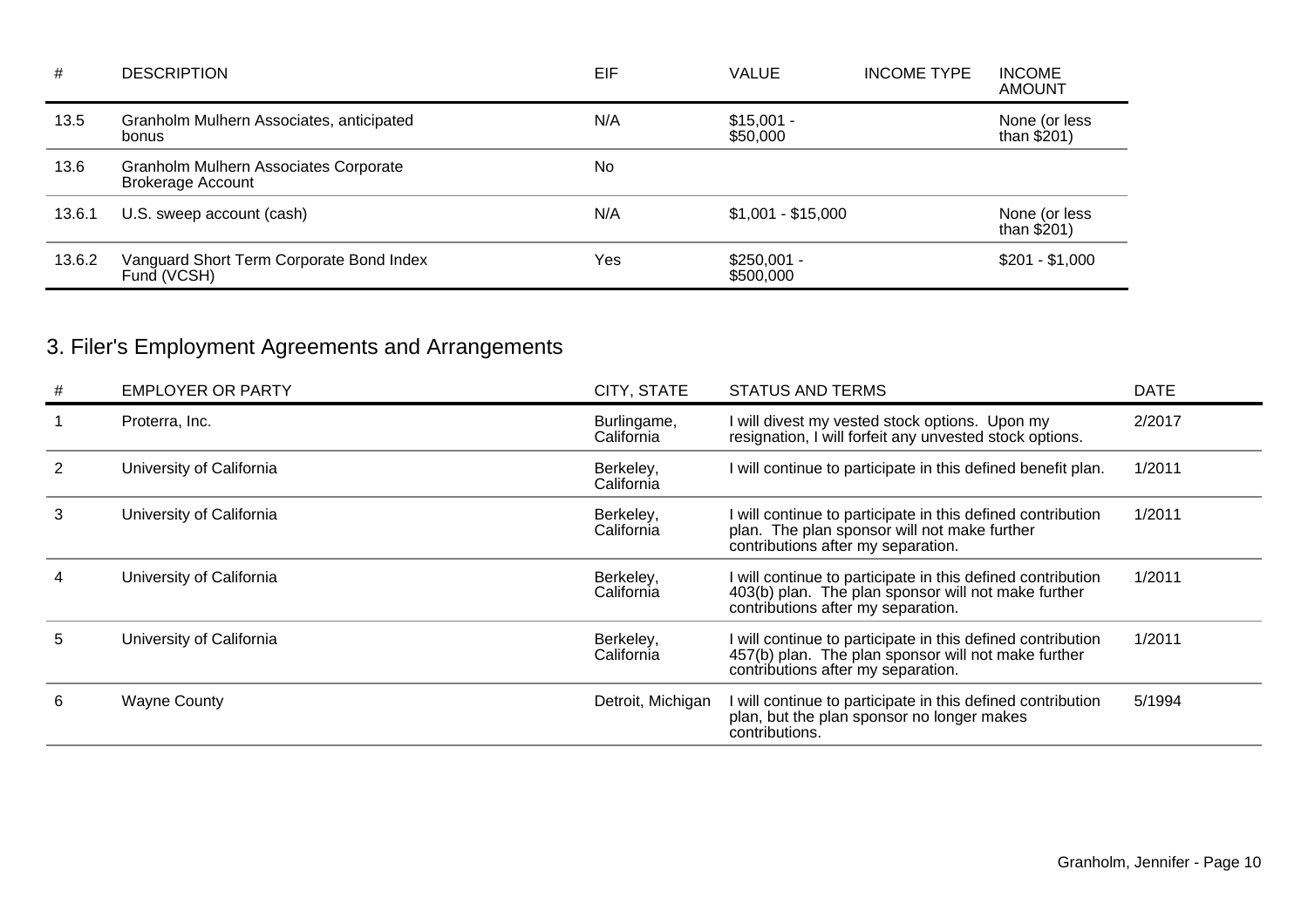| #      | <b>DESCRIPTION</b>                                                | EIF | VALUE                     | <b>INCOME TYPE</b> | <b>INCOME</b><br><b>AMOUNT</b> |
|--------|-------------------------------------------------------------------|-----|---------------------------|--------------------|--------------------------------|
| 13.5   | Granholm Mulhern Associates, anticipated<br>bonus                 | N/A | $$15,001 -$<br>\$50,000   |                    | None (or less<br>than $$201)$  |
| 13.6   | Granholm Mulhern Associates Corporate<br><b>Brokerage Account</b> | No  |                           |                    |                                |
| 13.6.1 | U.S. sweep account (cash)                                         | N/A | $$1,001 - $15,000$        |                    | None (or less<br>than $$201)$  |
| 13.6.2 | Vanguard Short Term Corporate Bond Index<br>Fund (VCSH)           | Yes | $$250,001 -$<br>\$500,000 |                    | $$201 - $1,000$                |

# 3. Filer's Employment Agreements and Arrangements

| # | <b>EMPLOYER OR PARTY</b> | CITY, STATE               | <b>STATUS AND TERMS</b>                                                                                                                                  | <b>DATE</b> |
|---|--------------------------|---------------------------|----------------------------------------------------------------------------------------------------------------------------------------------------------|-------------|
|   | Proterra, Inc.           | Burlingame,<br>California | I will divest my vested stock options. Upon my<br>resignation, I will forfeit any unvested stock options.                                                | 2/2017      |
|   | University of California | Berkeley,<br>California   | will continue to participate in this defined benefit plan.                                                                                               | 1/2011      |
| 3 | University of California | Berkeley,<br>California   | will continue to participate in this defined contribution<br>plan. The plan sponsor will not make further<br>contributions after my separation.          | 1/2011      |
|   | University of California | Berkeley,<br>California   | I will continue to participate in this defined contribution<br>403(b) plan. The plan sponsor will not make further<br>contributions after my separation. | 1/2011      |
| 5 | University of California | Berkeley,<br>California   | I will continue to participate in this defined contribution<br>457(b) plan. The plan sponsor will not make further<br>contributions after my separation. | 1/2011      |
| 6 | <b>Wayne County</b>      | Detroit, Michigan         | I will continue to participate in this defined contribution<br>plan, but the plan sponsor no longer makes<br>contributions.                              | 5/1994      |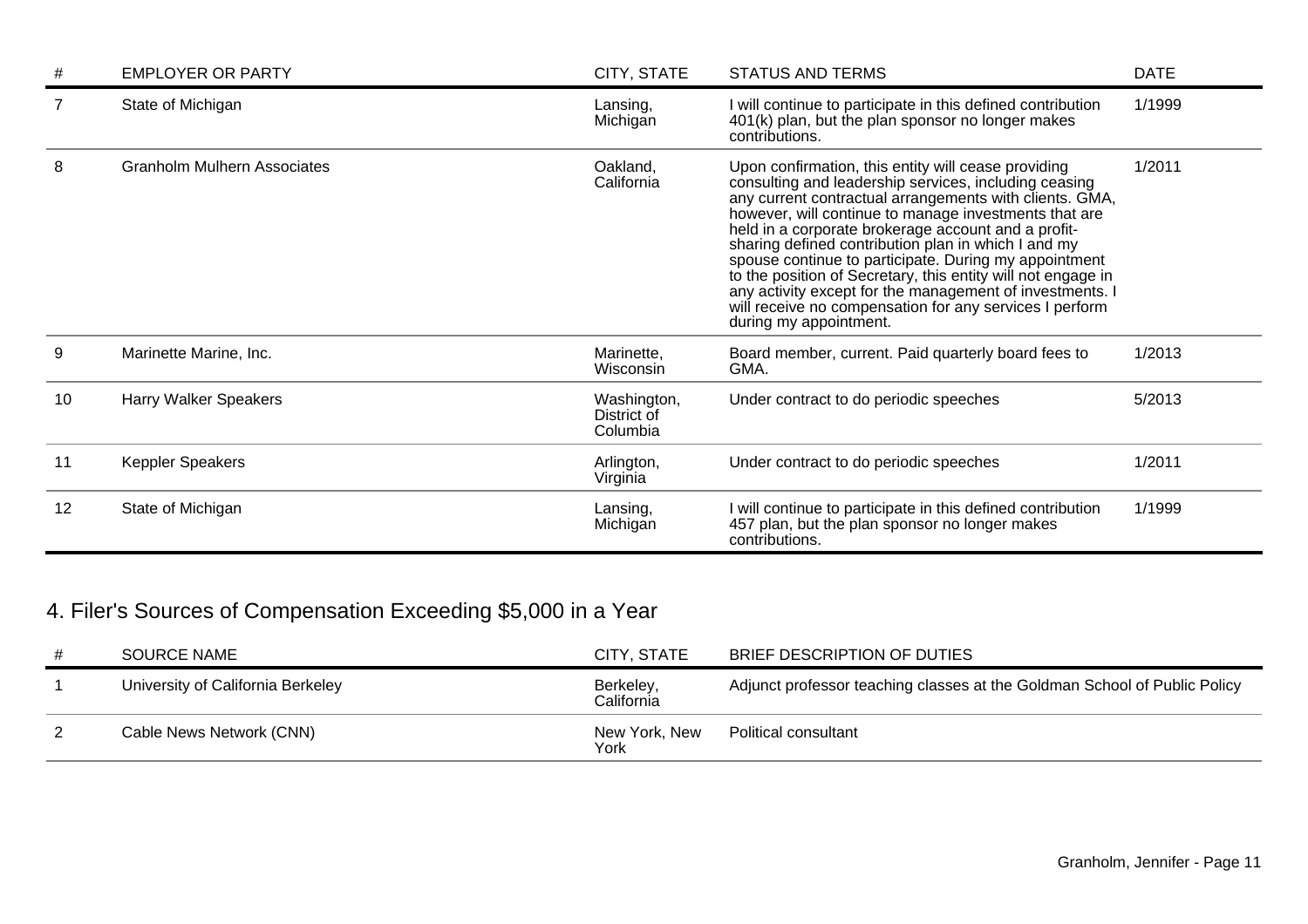|    | <b>EMPLOYER OR PARTY</b>           | CITY, STATE                            | <b>STATUS AND TERMS</b>                                                                                                                                                                                                                                                                                                                                                                                                                                                                                                                                                                                                  | <b>DATE</b> |
|----|------------------------------------|----------------------------------------|--------------------------------------------------------------------------------------------------------------------------------------------------------------------------------------------------------------------------------------------------------------------------------------------------------------------------------------------------------------------------------------------------------------------------------------------------------------------------------------------------------------------------------------------------------------------------------------------------------------------------|-------------|
|    | State of Michigan                  | Lansing,<br>Michigan                   | will continue to participate in this defined contribution<br>401(k) plan, but the plan sponsor no longer makes<br>contributions.                                                                                                                                                                                                                                                                                                                                                                                                                                                                                         | 1/1999      |
| 8  | <b>Granholm Mulhern Associates</b> | Oakland,<br>California                 | Upon confirmation, this entity will cease providing<br>consulting and leadership services, including ceasing<br>any current contractual arrangements with clients. GMA,<br>however, will continue to manage investments that are<br>held in a corporate brokerage account and a profit-<br>sharing defined contribution plan in which I and my<br>spouse continue to participate. During my appointment<br>to the position of Secretary, this entity will not engage in<br>any activity except for the management of investments. I<br>will receive no compensation for any services I perform<br>during my appointment. | 1/2011      |
| 9  | Marinette Marine, Inc.             | Marinette,<br>Wisconsin                | Board member, current. Paid quarterly board fees to<br>GMA.                                                                                                                                                                                                                                                                                                                                                                                                                                                                                                                                                              | 1/2013      |
| 10 | <b>Harry Walker Speakers</b>       | Washington,<br>District of<br>Columbia | Under contract to do periodic speeches                                                                                                                                                                                                                                                                                                                                                                                                                                                                                                                                                                                   | 5/2013      |
| 11 | Keppler Speakers                   | Arlington,<br>Virginia                 | Under contract to do periodic speeches                                                                                                                                                                                                                                                                                                                                                                                                                                                                                                                                                                                   | 1/2011      |
| 12 | State of Michigan                  | Lansing,<br>Michigan                   | will continue to participate in this defined contribution<br>457 plan, but the plan sponsor no longer makes<br>contributions.                                                                                                                                                                                                                                                                                                                                                                                                                                                                                            | 1/1999      |

# 4. Filer's Sources of Compensation Exceeding \$5,000 in a Year

| SOURCE NAME                       | CITY, STATE             | BRIEF DESCRIPTION OF DUTIES                                               |
|-----------------------------------|-------------------------|---------------------------------------------------------------------------|
| University of California Berkeley | Berkeley,<br>California | Adjunct professor teaching classes at the Goldman School of Public Policy |
| Cable News Network (CNN)          | New York, New<br>York   | Political consultant                                                      |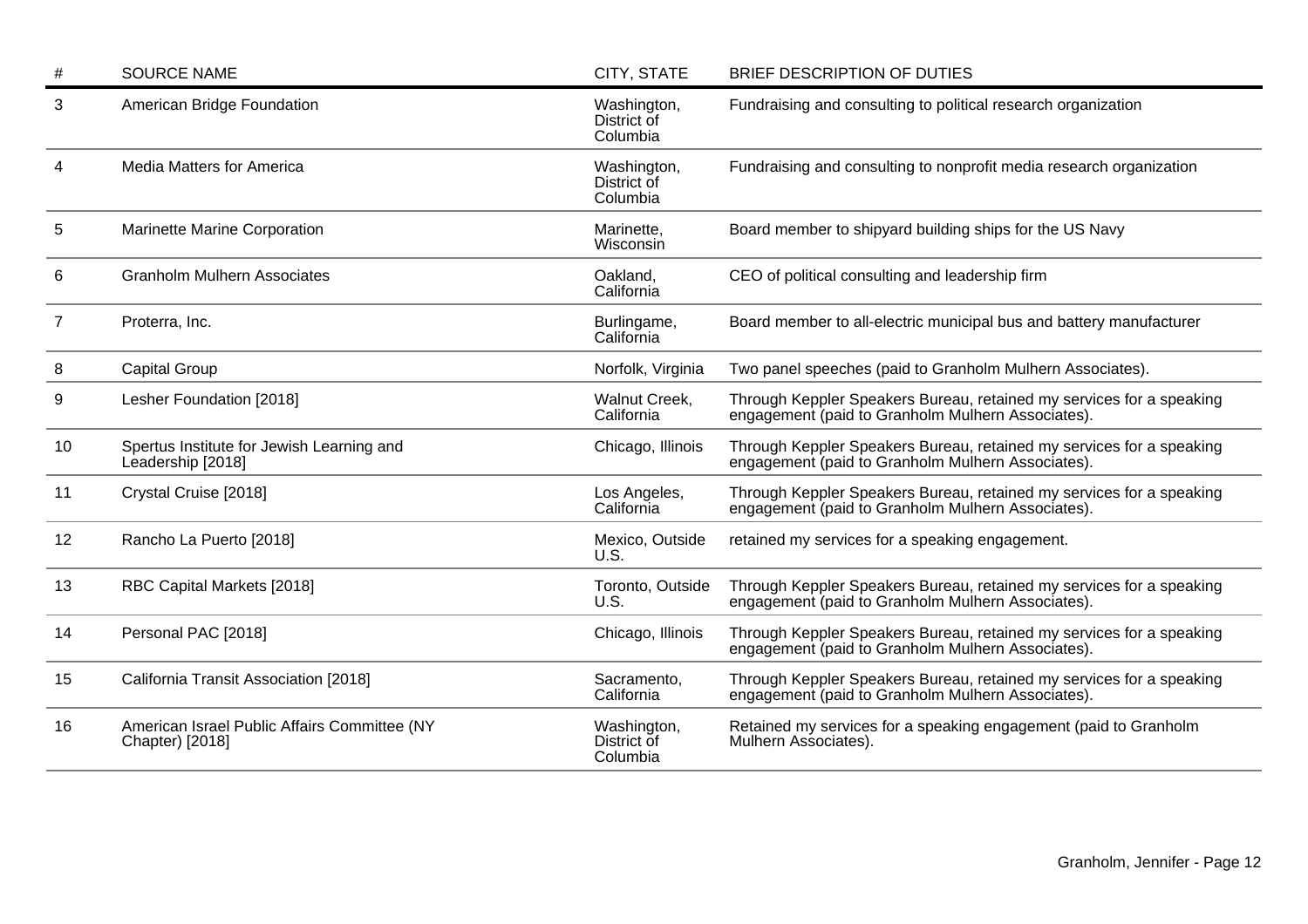| #  | <b>SOURCE NAME</b>                                              | CITY, STATE                            | BRIEF DESCRIPTION OF DUTIES                                                                                               |
|----|-----------------------------------------------------------------|----------------------------------------|---------------------------------------------------------------------------------------------------------------------------|
| 3  | American Bridge Foundation                                      | Washington,<br>District of<br>Columbia | Fundraising and consulting to political research organization                                                             |
| 4  | <b>Media Matters for America</b>                                | Washington,<br>District of<br>Columbia | Fundraising and consulting to nonprofit media research organization                                                       |
| 5  | Marinette Marine Corporation                                    | Marinette,<br>Wisconsin                | Board member to shipyard building ships for the US Navy                                                                   |
| 6  | <b>Granholm Mulhern Associates</b>                              | Oakland,<br>California                 | CEO of political consulting and leadership firm                                                                           |
| 7  | Proterra, Inc.                                                  | Burlingame,<br>California              | Board member to all-electric municipal bus and battery manufacturer                                                       |
| 8  | <b>Capital Group</b>                                            | Norfolk, Virginia                      | Two panel speeches (paid to Granholm Mulhern Associates).                                                                 |
| 9  | Lesher Foundation [2018]                                        | Walnut Creek,<br>California            | Through Keppler Speakers Bureau, retained my services for a speaking<br>engagement (paid to Granholm Mulhern Associates). |
| 10 | Spertus Institute for Jewish Learning and<br>Leadership [2018]  | Chicago, Illinois                      | Through Keppler Speakers Bureau, retained my services for a speaking<br>engagement (paid to Granholm Mulhern Associates). |
| 11 | Crystal Cruise [2018]                                           | Los Angeles,<br>California             | Through Keppler Speakers Bureau, retained my services for a speaking<br>engagement (paid to Granholm Mulhern Associates). |
| 12 | Rancho La Puerto [2018]                                         | Mexico, Outside<br><b>U.S.</b>         | retained my services for a speaking engagement.                                                                           |
| 13 | RBC Capital Markets [2018]                                      | Toronto, Outside<br>U.S.               | Through Keppler Speakers Bureau, retained my services for a speaking<br>engagement (paid to Granholm Mulhern Associates). |
| 14 | Personal PAC [2018]                                             | Chicago, Illinois                      | Through Keppler Speakers Bureau, retained my services for a speaking<br>engagement (paid to Granholm Mulhern Associates). |
| 15 | California Transit Association [2018]                           | Sacramento,<br>California              | Through Keppler Speakers Bureau, retained my services for a speaking<br>engagement (paid to Granholm Mulhern Associates). |
| 16 | American Israel Public Affairs Committee (NY<br>Chapter) [2018] | Washington,<br>District of<br>Columbia | Retained my services for a speaking engagement (paid to Granholm<br>Mulhern Associates).                                  |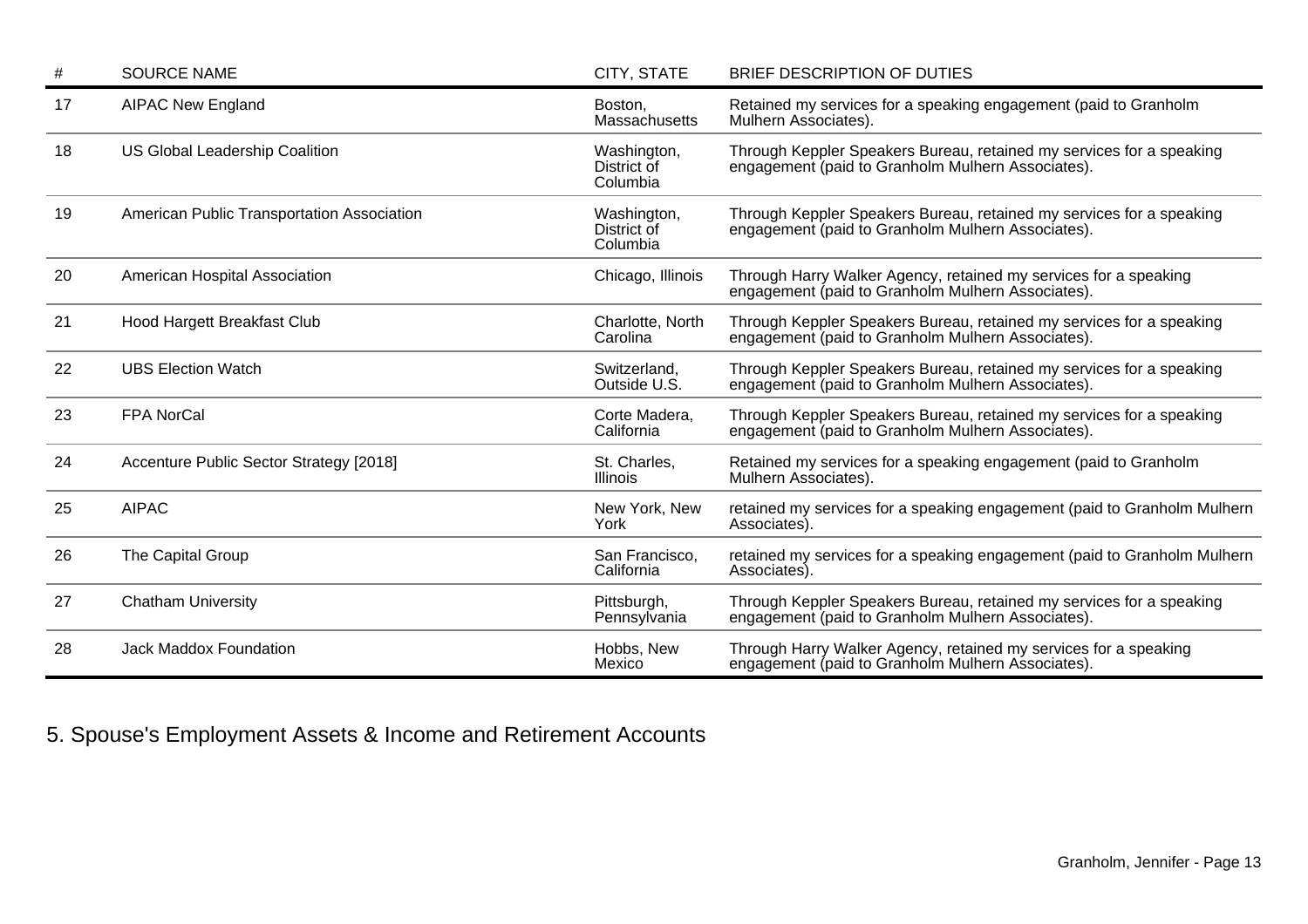| #  | <b>SOURCE NAME</b>                         | CITY, STATE                            | BRIEF DESCRIPTION OF DUTIES                                                                                               |
|----|--------------------------------------------|----------------------------------------|---------------------------------------------------------------------------------------------------------------------------|
| 17 | <b>AIPAC New England</b>                   | Boston,<br>Massachusetts               | Retained my services for a speaking engagement (paid to Granholm<br>Mulhern Associates).                                  |
| 18 | <b>US Global Leadership Coalition</b>      | Washington,<br>District of<br>Columbia | Through Keppler Speakers Bureau, retained my services for a speaking<br>engagement (paid to Granholm Mulhern Associates). |
| 19 | American Public Transportation Association | Washington,<br>District of<br>Columbia | Through Keppler Speakers Bureau, retained my services for a speaking<br>engagement (paid to Granholm Mulhern Associates). |
| 20 | American Hospital Association              | Chicago, Illinois                      | Through Harry Walker Agency, retained my services for a speaking<br>engagement (paid to Granholm Mulhern Associates).     |
| 21 | Hood Hargett Breakfast Club                | Charlotte, North<br>Carolina           | Through Keppler Speakers Bureau, retained my services for a speaking<br>engagement (paid to Granholm Mulhern Associates). |
| 22 | <b>UBS Election Watch</b>                  | Switzerland,<br>Outside U.S.           | Through Keppler Speakers Bureau, retained my services for a speaking<br>engagement (paid to Granholm Mulhern Associates). |
| 23 | <b>FPA NorCal</b>                          | Corte Madera,<br>California            | Through Keppler Speakers Bureau, retained my services for a speaking<br>engagement (paid to Granholm Mulhern Associates). |
| 24 | Accenture Public Sector Strategy [2018]    | St. Charles,<br><b>Illinois</b>        | Retained my services for a speaking engagement (paid to Granholm<br>Mulhern Associates).                                  |
| 25 | <b>AIPAC</b>                               | New York, New<br>York                  | retained my services for a speaking engagement (paid to Granholm Mulhern<br>Associates).                                  |
| 26 | The Capital Group                          | San Francisco,<br>California           | retained my services for a speaking engagement (paid to Granholm Mulhern<br>Associates).                                  |
| 27 | <b>Chatham University</b>                  | Pittsburgh,<br>Pennsylvania            | Through Keppler Speakers Bureau, retained my services for a speaking<br>engagement (paid to Granholm Mulhern Associates). |
| 28 | <b>Jack Maddox Foundation</b>              | Hobbs, New<br>Mexico                   | Through Harry Walker Agency, retained my services for a speaking<br>engagement (paid to Granholm Mulhern Associates).     |

5. Spouse's Employment Assets & Income and Retirement Accounts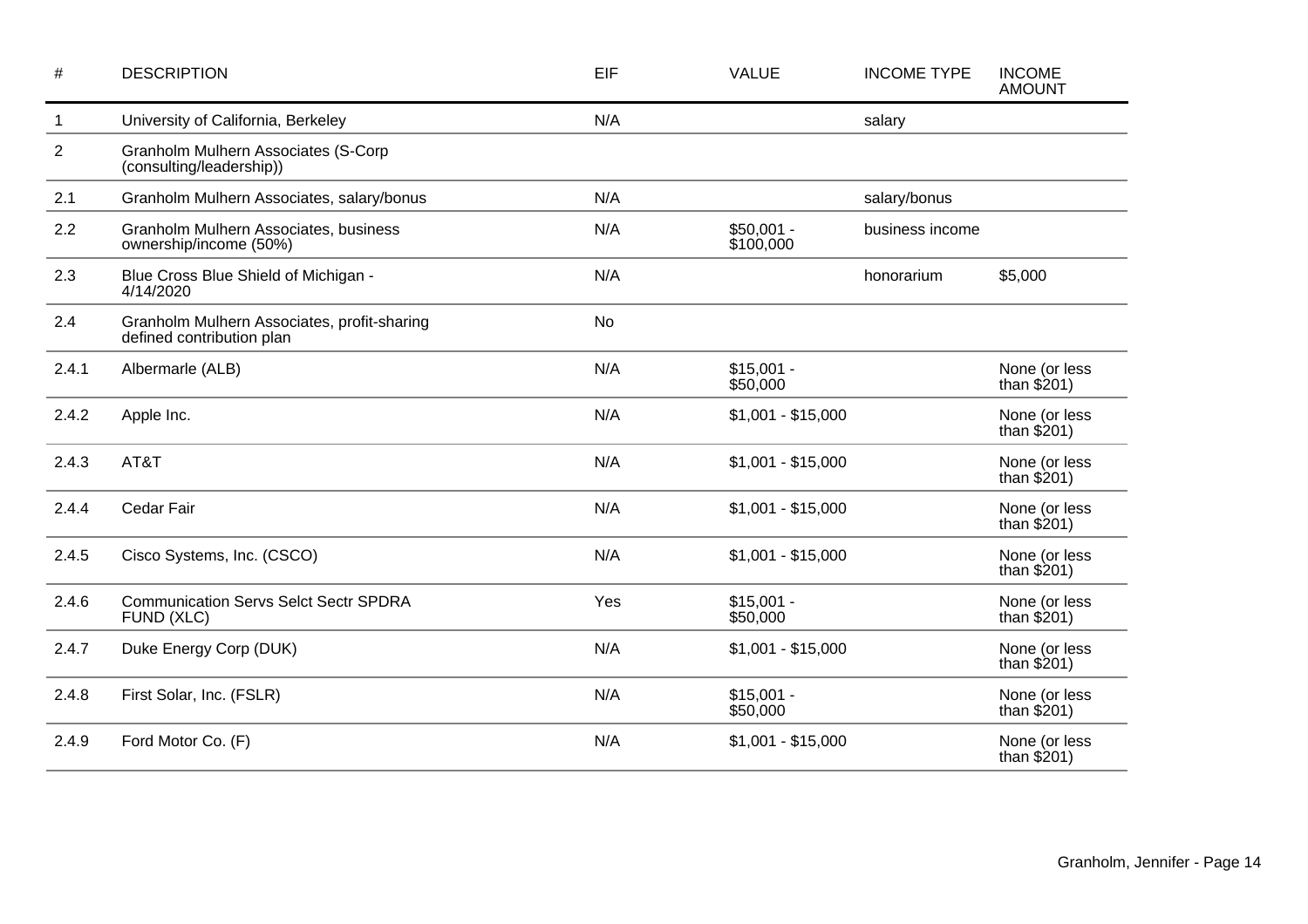| $\#$           | <b>DESCRIPTION</b>                                                       | EIF       | <b>VALUE</b>             | <b>INCOME TYPE</b> | <b>INCOME</b><br><b>AMOUNT</b> |
|----------------|--------------------------------------------------------------------------|-----------|--------------------------|--------------------|--------------------------------|
| $\mathbf 1$    | University of California, Berkeley                                       | N/A       |                          | salary             |                                |
| $\overline{2}$ | Granholm Mulhern Associates (S-Corp<br>(consulting/leadership))          |           |                          |                    |                                |
| 2.1            | Granholm Mulhern Associates, salary/bonus                                | N/A       |                          | salary/bonus       |                                |
| 2.2            | Granholm Mulhern Associates, business<br>ownership/income (50%)          | N/A       | $$50,001 -$<br>\$100,000 | business income    |                                |
| 2.3            | Blue Cross Blue Shield of Michigan -<br>4/14/2020                        | N/A       |                          | honorarium         | \$5,000                        |
| 2.4            | Granholm Mulhern Associates, profit-sharing<br>defined contribution plan | <b>No</b> |                          |                    |                                |
| 2.4.1          | Albermarle (ALB)                                                         | N/A       | $$15,001 -$<br>\$50,000  |                    | None (or less<br>than $$201)$  |
| 2.4.2          | Apple Inc.                                                               | N/A       | $$1,001 - $15,000$       |                    | None (or less<br>than $$201)$  |
| 2.4.3          | AT&T                                                                     | N/A       | $$1,001 - $15,000$       |                    | None (or less<br>than $$201)$  |
| 2.4.4          | Cedar Fair                                                               | N/A       | $$1,001 - $15,000$       |                    | None (or less<br>than $$201)$  |
| 2.4.5          | Cisco Systems, Inc. (CSCO)                                               | N/A       | $$1,001 - $15,000$       |                    | None (or less<br>than $$201)$  |
| 2.4.6          | <b>Communication Servs Selct Sectr SPDRA</b><br>FUND (XLC)               | Yes       | $$15,001 -$<br>\$50,000  |                    | None (or less<br>than $$201)$  |
| 2.4.7          | Duke Energy Corp (DUK)                                                   | N/A       | $$1,001 - $15,000$       |                    | None (or less<br>than $$201)$  |
| 2.4.8          | First Solar, Inc. (FSLR)                                                 | N/A       | $$15,001 -$<br>\$50,000  |                    | None (or less<br>than $$201)$  |
| 2.4.9          | Ford Motor Co. (F)                                                       | N/A       | $$1,001 - $15,000$       |                    | None (or less<br>than $$201)$  |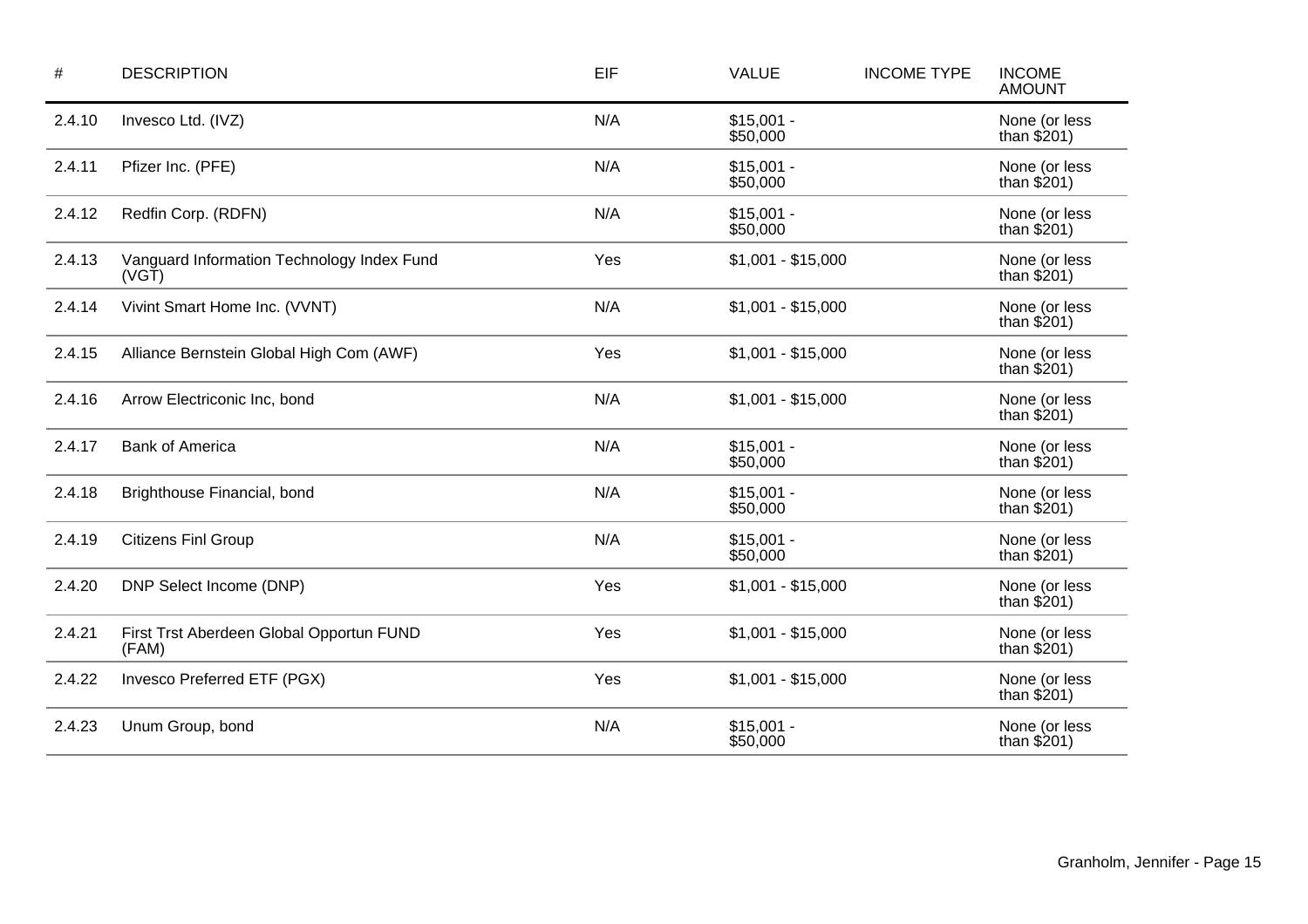| $\#$   | <b>DESCRIPTION</b>                                          | EIF | <b>VALUE</b>            | <b>INCOME TYPE</b> | <b>INCOME</b><br><b>AMOUNT</b> |
|--------|-------------------------------------------------------------|-----|-------------------------|--------------------|--------------------------------|
| 2.4.10 | Invesco Ltd. (IVZ)                                          | N/A | $$15,001 -$<br>\$50,000 |                    | None (or less<br>than $$201)$  |
| 2.4.11 | Pfizer Inc. (PFE)                                           | N/A | $$15,001 -$<br>\$50,000 |                    | None (or less<br>than $$201)$  |
| 2.4.12 | Redfin Corp. (RDFN)                                         | N/A | $$15,001 -$<br>\$50,000 |                    | None (or less<br>than $$201)$  |
| 2.4.13 | Vanguard Information Technology Index Fund<br>$(VG\bar{T})$ | Yes | $$1,001 - $15,000$      |                    | None (or less<br>than $$201)$  |
| 2.4.14 | Vivint Smart Home Inc. (VVNT)                               | N/A | $$1,001 - $15,000$      |                    | None (or less<br>than $$201)$  |
| 2.4.15 | Alliance Bernstein Global High Com (AWF)                    | Yes | $$1,001 - $15,000$      |                    | None (or less<br>than $$201)$  |
| 2.4.16 | Arrow Electriconic Inc, bond                                | N/A | $$1,001 - $15,000$      |                    | None (or less<br>than $$201)$  |
| 2.4.17 | <b>Bank of America</b>                                      | N/A | $$15,001 -$<br>\$50,000 |                    | None (or less<br>than $$201)$  |
| 2.4.18 | Brighthouse Financial, bond                                 | N/A | $$15,001 -$<br>\$50,000 |                    | None (or less<br>than $$201)$  |
| 2.4.19 | <b>Citizens Finl Group</b>                                  | N/A | $$15,001 -$<br>\$50,000 |                    | None (or less<br>than $$201)$  |
| 2.4.20 | DNP Select Income (DNP)                                     | Yes | $$1,001 - $15,000$      |                    | None (or less<br>than $$201)$  |
| 2.4.21 | First Trst Aberdeen Global Opportun FUND<br>(FAM)           | Yes | $$1,001 - $15,000$      |                    | None (or less<br>than $$201)$  |
| 2.4.22 | Invesco Preferred ETF (PGX)                                 | Yes | $$1,001 - $15,000$      |                    | None (or less<br>than $$201)$  |
| 2.4.23 | Unum Group, bond                                            | N/A | $$15,001 -$<br>\$50,000 |                    | None (or less<br>than $$201)$  |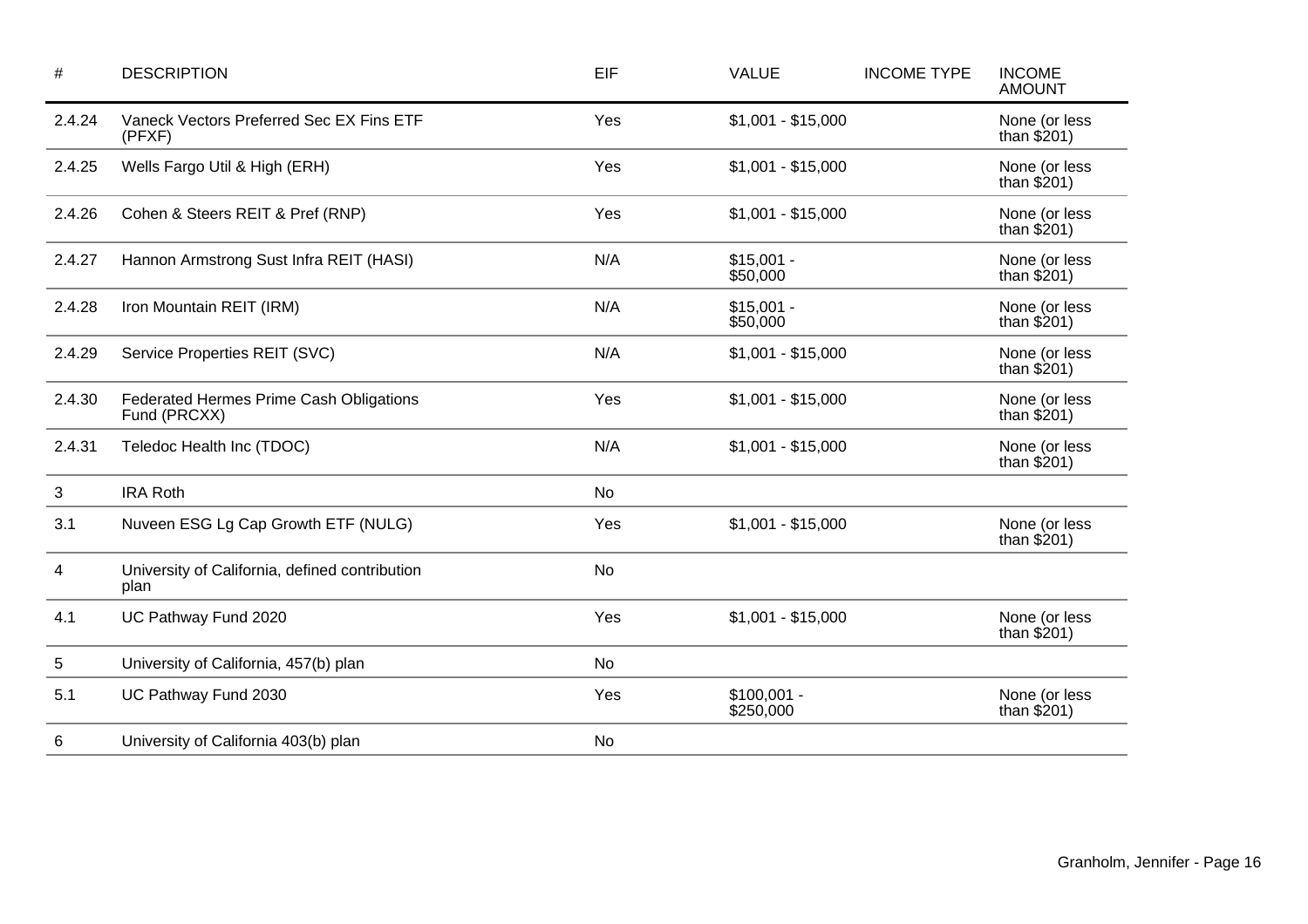| #            | <b>DESCRIPTION</b>                                      | EIF       | <b>VALUE</b>              | <b>INCOME TYPE</b> | <b>INCOME</b><br><b>AMOUNT</b> |
|--------------|---------------------------------------------------------|-----------|---------------------------|--------------------|--------------------------------|
| 2.4.24       | Vaneck Vectors Preferred Sec EX Fins ETF<br>(PFXF)      | Yes       | $$1,001 - $15,000$        |                    | None (or less<br>than $$201)$  |
| 2.4.25       | Wells Fargo Util & High (ERH)                           | Yes       | $$1,001 - $15,000$        |                    | None (or less<br>than $$201)$  |
| 2.4.26       | Cohen & Steers REIT & Pref (RNP)                        | Yes       | $$1,001 - $15,000$        |                    | None (or less<br>than $$201)$  |
| 2.4.27       | Hannon Armstrong Sust Infra REIT (HASI)                 | N/A       | $$15,001 -$<br>\$50,000   |                    | None (or less<br>than $$201)$  |
| 2.4.28       | Iron Mountain REIT (IRM)                                | N/A       | $$15,001 -$<br>\$50,000   |                    | None (or less<br>than $$201)$  |
| 2.4.29       | Service Properties REIT (SVC)                           | N/A       | $$1,001 - $15,000$        |                    | None (or less<br>than $$201)$  |
| 2.4.30       | Federated Hermes Prime Cash Obligations<br>Fund (PRCXX) | Yes       | $$1,001 - $15,000$        |                    | None (or less<br>than $$201)$  |
| 2.4.31       | Teledoc Health Inc (TDOC)                               | N/A       | $$1,001 - $15,000$        |                    | None (or less<br>than $$201)$  |
| $\mathbf{3}$ | <b>IRA Roth</b>                                         | <b>No</b> |                           |                    |                                |
| 3.1          | Nuveen ESG Lg Cap Growth ETF (NULG)                     | Yes       | $$1,001 - $15,000$        |                    | None (or less<br>than $$201)$  |
| 4            | University of California, defined contribution<br>plan  | No        |                           |                    |                                |
| 4.1          | UC Pathway Fund 2020                                    | Yes       | $$1,001 - $15,000$        |                    | None (or less<br>than $$201)$  |
| 5            | University of California, 457(b) plan                   | <b>No</b> |                           |                    |                                |
| 5.1          | UC Pathway Fund 2030                                    | Yes       | $$100,001 -$<br>\$250,000 |                    | None (or less<br>than $$201)$  |
| 6            | University of California 403(b) plan                    | No        |                           |                    |                                |
|              |                                                         |           |                           |                    |                                |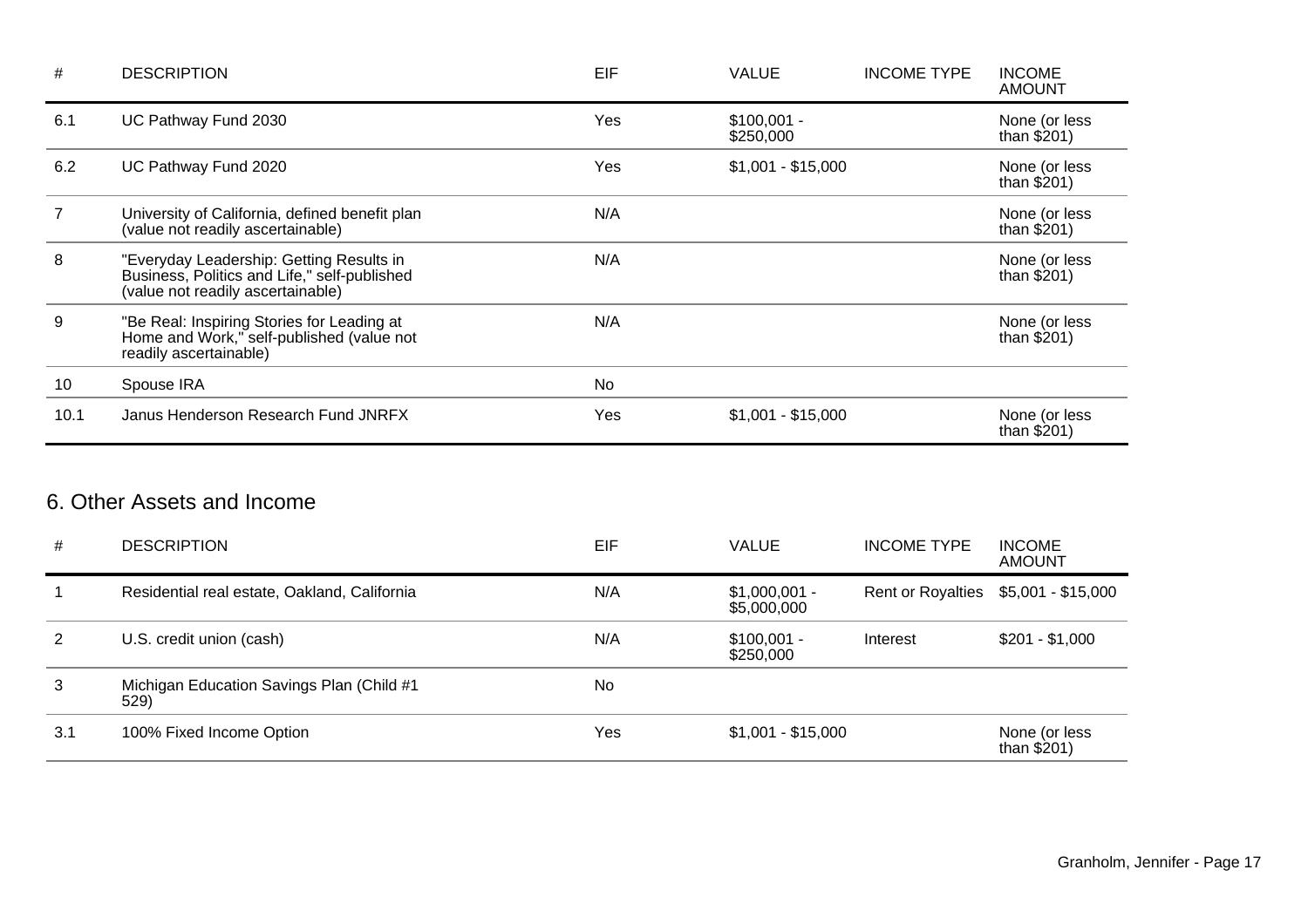| #    | <b>DESCRIPTION</b>                                                                                                            | EIF | <b>VALUE</b>              | <b>INCOME TYPE</b> | <b>INCOME</b><br><b>AMOUNT</b> |
|------|-------------------------------------------------------------------------------------------------------------------------------|-----|---------------------------|--------------------|--------------------------------|
| 6.1  | UC Pathway Fund 2030                                                                                                          | Yes | $$100,001 -$<br>\$250,000 |                    | None (or less<br>than $$201)$  |
| 6.2  | UC Pathway Fund 2020                                                                                                          | Yes | $$1,001 - $15,000$        |                    | None (or less<br>than $$201)$  |
|      | University of California, defined benefit plan<br>(value not readily ascertainable)                                           | N/A |                           |                    | None (or less<br>than $$201)$  |
| 8    | "Everyday Leadership: Getting Results in<br>Business, Politics and Life," self-published<br>(value not readily ascertainable) | N/A |                           |                    | None (or less<br>than $$201)$  |
| 9    | "Be Real: Inspiring Stories for Leading at<br>Home and Work," self-published (value not<br>readily ascertainable)             | N/A |                           |                    | None (or less<br>than $$201)$  |
| 10   | Spouse IRA                                                                                                                    | No  |                           |                    |                                |
| 10.1 | Janus Henderson Research Fund JNRFX                                                                                           | Yes | $$1,001 - $15,000$        |                    | None (or less<br>than $$201)$  |

## 6. Other Assets and Income

| #   | <b>DESCRIPTION</b>                                | EIF | <b>VALUE</b>                  | <b>INCOME TYPE</b>       | <b>INCOME</b><br><b>AMOUNT</b> |
|-----|---------------------------------------------------|-----|-------------------------------|--------------------------|--------------------------------|
|     | Residential real estate, Oakland, California      | N/A | $$1,000,001 -$<br>\$5,000,000 | <b>Rent or Royalties</b> | \$5,001 - \$15,000             |
| 2   | U.S. credit union (cash)                          | N/A | $$100,001 -$<br>\$250,000     | Interest                 | $$201 - $1,000$                |
| 3   | Michigan Education Savings Plan (Child #1<br>529) | No  |                               |                          |                                |
| 3.1 | 100% Fixed Income Option                          | Yes | $$1,001 - $15,000$            |                          | None (or less<br>than $$201)$  |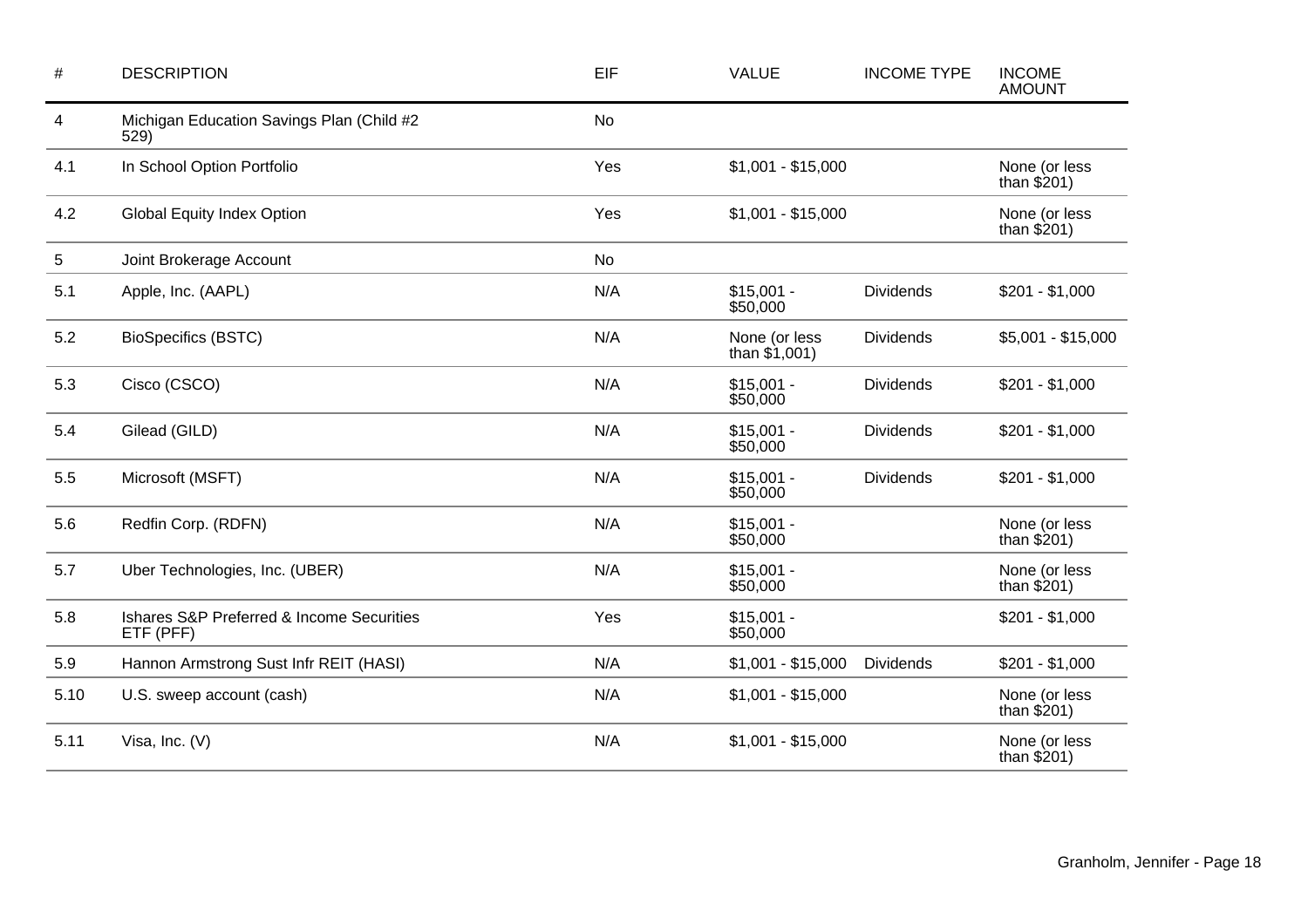| $\#$ | <b>DESCRIPTION</b>                                     | EIF       | <b>VALUE</b>                     | <b>INCOME TYPE</b> | <b>INCOME</b><br><b>AMOUNT</b> |
|------|--------------------------------------------------------|-----------|----------------------------------|--------------------|--------------------------------|
| 4    | Michigan Education Savings Plan (Child #2<br>529)      | <b>No</b> |                                  |                    |                                |
| 4.1  | In School Option Portfolio                             | Yes       | $$1,001 - $15,000$               |                    | None (or less<br>than $$201)$  |
| 4.2  | <b>Global Equity Index Option</b>                      | Yes       | $$1,001 - $15,000$               |                    | None (or less<br>than $$201)$  |
| 5    | Joint Brokerage Account                                | <b>No</b> |                                  |                    |                                |
| 5.1  | Apple, Inc. (AAPL)                                     | N/A       | $$15,001 -$<br>\$50,000          | <b>Dividends</b>   | $$201 - $1,000$                |
| 5.2  | <b>BioSpecifics (BSTC)</b>                             | N/A       | None (or less<br>than $$1,001$ ) | <b>Dividends</b>   | $$5,001 - $15,000$             |
| 5.3  | Cisco (CSCO)                                           | N/A       | $$15,001 -$<br>\$50,000          | <b>Dividends</b>   | $$201 - $1,000$                |
| 5.4  | Gilead (GILD)                                          | N/A       | $$15,001 -$<br>\$50,000          | <b>Dividends</b>   | $$201 - $1,000$                |
| 5.5  | Microsoft (MSFT)                                       | N/A       | $$15,001 -$<br>\$50,000          | <b>Dividends</b>   | $$201 - $1,000$                |
| 5.6  | Redfin Corp. (RDFN)                                    | N/A       | $$15,001 -$<br>\$50,000          |                    | None (or less<br>than $$201)$  |
| 5.7  | Uber Technologies, Inc. (UBER)                         | N/A       | $$15,001 -$<br>\$50,000          |                    | None (or less<br>than $$201)$  |
| 5.8  | Ishares S&P Preferred & Income Securities<br>ETF (PFF) | Yes       | $$15,001 -$<br>\$50,000          |                    | $$201 - $1,000$                |
| 5.9  | Hannon Armstrong Sust Infr REIT (HASI)                 | N/A       | $$1,001 - $15,000$               | <b>Dividends</b>   | $$201 - $1,000$                |
| 5.10 | U.S. sweep account (cash)                              | N/A       | $$1,001 - $15,000$               |                    | None (or less<br>than $$201)$  |
| 5.11 | Visa, Inc. (V)                                         | N/A       | $$1,001 - $15,000$               |                    | None (or less<br>than $$201)$  |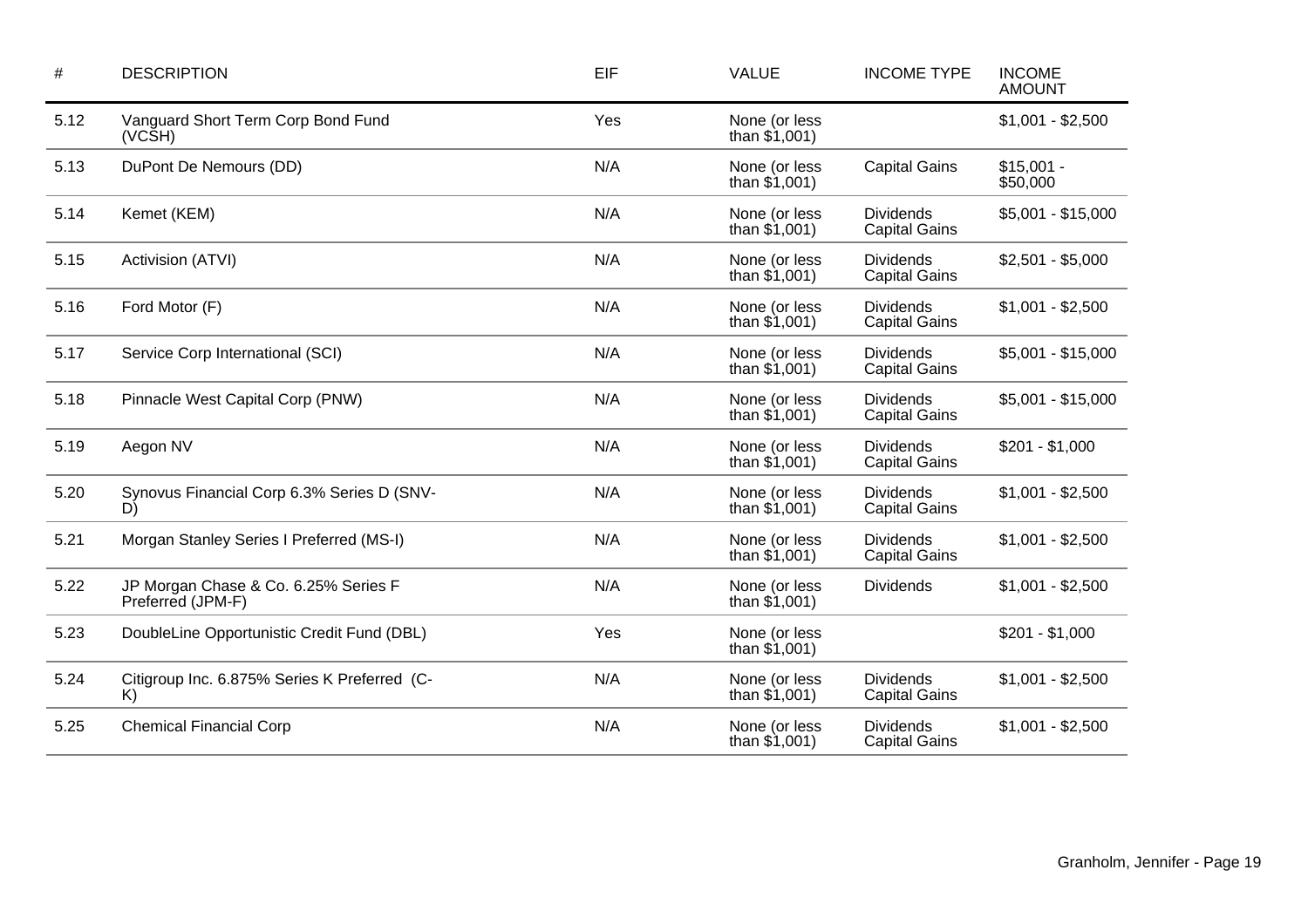| <b>DESCRIPTION</b>                                        | EIF | <b>VALUE</b>                     | <b>INCOME TYPE</b>                       |                         |
|-----------------------------------------------------------|-----|----------------------------------|------------------------------------------|-------------------------|
| Vanguard Short Term Corp Bond Fund<br>(VCŠH)              | Yes | None (or less<br>than $$1,001$ ) |                                          | $$1,001 - $2,500$       |
| DuPont De Nemours (DD)                                    | N/A | None (or less<br>than $$1,001$ ) | <b>Capital Gains</b>                     | $$15,001 -$<br>\$50,000 |
| Kemet (KEM)                                               | N/A | None (or less<br>than $$1,001$ ) | <b>Dividends</b><br><b>Capital Gains</b> | \$5,001 - \$15,000      |
| Activision (ATVI)                                         | N/A | None (or less<br>than $$1,001$ ) | <b>Dividends</b><br><b>Capital Gains</b> |                         |
| Ford Motor (F)                                            | N/A | None (or less<br>than $$1,001$ ) | <b>Dividends</b><br><b>Capital Gains</b> | $$1,001 - $2,500$       |
| Service Corp International (SCI)                          | N/A | None (or less<br>than $$1,001$ ) | <b>Dividends</b><br><b>Capital Gains</b> | $$5,001 - $15,000$      |
| Pinnacle West Capital Corp (PNW)                          | N/A | None (or less<br>than $$1,001$ ) | <b>Dividends</b><br><b>Capital Gains</b> | $$5,001 - $15,000$      |
| Aegon NV                                                  | N/A | None (or less<br>than $$1,001$ ) | <b>Dividends</b><br><b>Capital Gains</b> |                         |
| Synovus Financial Corp 6.3% Series D (SNV-<br>D)          | N/A | None (or less<br>than $$1,001$ ) | <b>Dividends</b><br><b>Capital Gains</b> |                         |
| Morgan Stanley Series I Preferred (MS-I)                  | N/A | None (or less<br>than $$1,001$ ) | <b>Dividends</b><br><b>Capital Gains</b> | $$1,001 - $2,500$       |
| JP Morgan Chase & Co. 6.25% Series F<br>Preferred (JPM-F) | N/A | None (or less<br>than $$1,001$ ) | <b>Dividends</b>                         | $$1,001 - $2,500$       |
| DoubleLine Opportunistic Credit Fund (DBL)                | Yes | None (or less<br>than $$1,001$ ) |                                          | $$201 - $1,000$         |
| Citigroup Inc. 6.875% Series K Preferred (C-<br>K)        | N/A | None (or less<br>than $$1,001$ ) | <b>Dividends</b><br><b>Capital Gains</b> | $$1,001 - $2,500$       |
| <b>Chemical Financial Corp</b>                            | N/A | None (or less<br>than $$1,001)$  | <b>Dividends</b><br><b>Capital Gains</b> | $$1,001 - $2,500$       |
|                                                           |     |                                  |                                          |                         |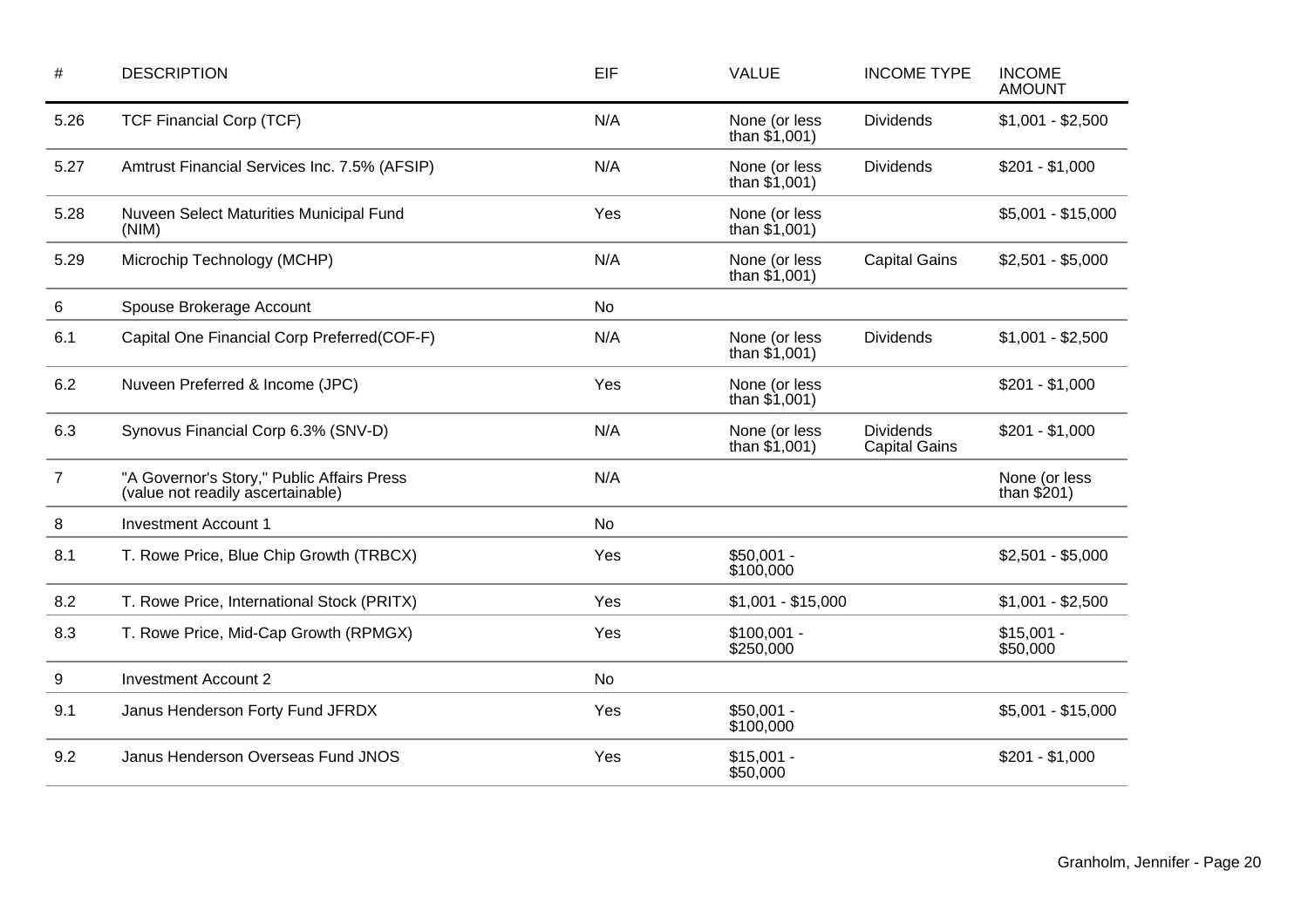| #              | <b>DESCRIPTION</b>                                                              | EIF       | <b>VALUE</b>                     | <b>INCOME TYPE</b>                       | <b>INCOME</b><br><b>AMOUNT</b> |
|----------------|---------------------------------------------------------------------------------|-----------|----------------------------------|------------------------------------------|--------------------------------|
| 5.26           | <b>TCF Financial Corp (TCF)</b>                                                 | N/A       | None (or less<br>than $$1,001$ ) | <b>Dividends</b>                         | $$1,001 - $2,500$              |
| 5.27           | Amtrust Financial Services Inc. 7.5% (AFSIP)                                    | N/A       | None (or less<br>than $$1,001$ ) | <b>Dividends</b>                         | $$201 - $1,000$                |
| 5.28           | Nuveen Select Maturities Municipal Fund<br>(NIM)                                | Yes       | None (or less<br>than $$1,001$ ) |                                          | $$5,001 - $15,000$             |
| 5.29           | Microchip Technology (MCHP)                                                     | N/A       | None (or less<br>than $$1,001$ ) | <b>Capital Gains</b>                     |                                |
| 6              | Spouse Brokerage Account                                                        | <b>No</b> |                                  |                                          |                                |
| 6.1            | Capital One Financial Corp Preferred(COF-F)                                     | N/A       | None (or less<br>than $$1,001$ ) | <b>Dividends</b>                         | $$1,001 - $2,500$              |
| 6.2            | Nuveen Preferred & Income (JPC)                                                 | Yes       | None (or less<br>than $$1,001$ ) |                                          | $$201 - $1,000$                |
| 6.3            | Synovus Financial Corp 6.3% (SNV-D)                                             | N/A       | None (or less<br>than $$1,001$ ) | <b>Dividends</b><br><b>Capital Gains</b> | $$201 - $1,000$                |
| $\overline{7}$ | "A Governor's Story," Public Affairs Press<br>(value not readily ascertainable) | N/A       |                                  |                                          | None (or less<br>than $$201)$  |
| 8              | <b>Investment Account 1</b>                                                     | <b>No</b> |                                  |                                          |                                |
| 8.1            | T. Rowe Price, Blue Chip Growth (TRBCX)                                         | Yes       | $$50,001 -$<br>\$100,000         |                                          | $$2,501 - $5,000$              |
| 8.2            | T. Rowe Price, International Stock (PRITX)                                      | Yes       | $$1,001 - $15,000$               |                                          | $$1,001 - $2,500$              |
| 8.3            | T. Rowe Price, Mid-Cap Growth (RPMGX)                                           | Yes       | $$100,001 -$<br>\$250,000        |                                          | $$15,001 -$<br>\$50,000        |
| 9              | <b>Investment Account 2</b>                                                     | <b>No</b> |                                  |                                          |                                |
| 9.1            | Janus Henderson Forty Fund JFRDX                                                | Yes       | $$50,001 -$<br>\$100,000         |                                          | $$5,001 - $15,000$             |
| 9.2            | Janus Henderson Overseas Fund JNOS                                              | Yes       | $$15,001 -$<br>\$50,000          |                                          | $$201 - $1,000$                |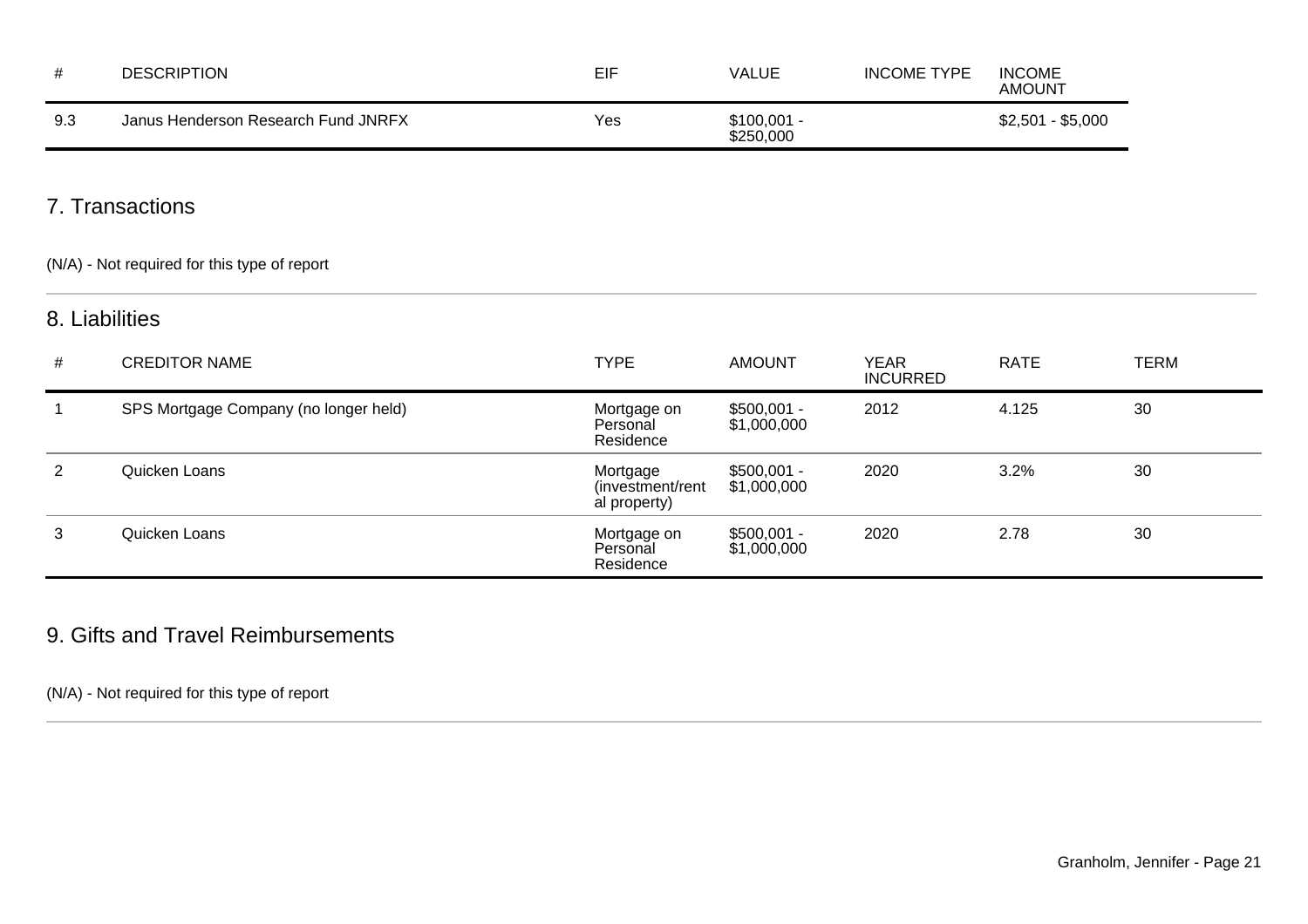|     | <b>DESCRIPTION</b>                  | EIF | VALUE                     | <b>INCOME TYPE</b> | <b>INCOME</b><br><b>AMOUNT</b> |
|-----|-------------------------------------|-----|---------------------------|--------------------|--------------------------------|
| 9.3 | Janus Henderson Research Fund JNRFX | Yes | $$100,001 -$<br>\$250,000 |                    | $$2,501 - $5,000$              |

## 7. Transactions

(N/A) - Not required for this type of report

### 8. Liabilities

| # | <b>CREDITOR NAME</b>                  | <b>TYPE</b>                                   | <b>AMOUNT</b>               | YEAR<br><b>INCURRED</b> | RATE  | <b>TERM</b> |
|---|---------------------------------------|-----------------------------------------------|-----------------------------|-------------------------|-------|-------------|
|   | SPS Mortgage Company (no longer held) | Mortgage on<br>Personal<br>Residence          | $$500,001 -$<br>\$1,000,000 | 2012                    | 4.125 | 30          |
| 2 | Quicken Loans                         | Mortgage<br>(investment/rent)<br>al property) | $$500,001 -$<br>\$1,000,000 | 2020                    | 3.2%  | 30          |
| 3 | Quicken Loans                         | Mortgage on<br>Personal<br>Residence          | $$500,001 -$<br>\$1,000,000 | 2020                    | 2.78  | 30          |

## 9. Gifts and Travel Reimbursements

### (N/A) - Not required for this type of report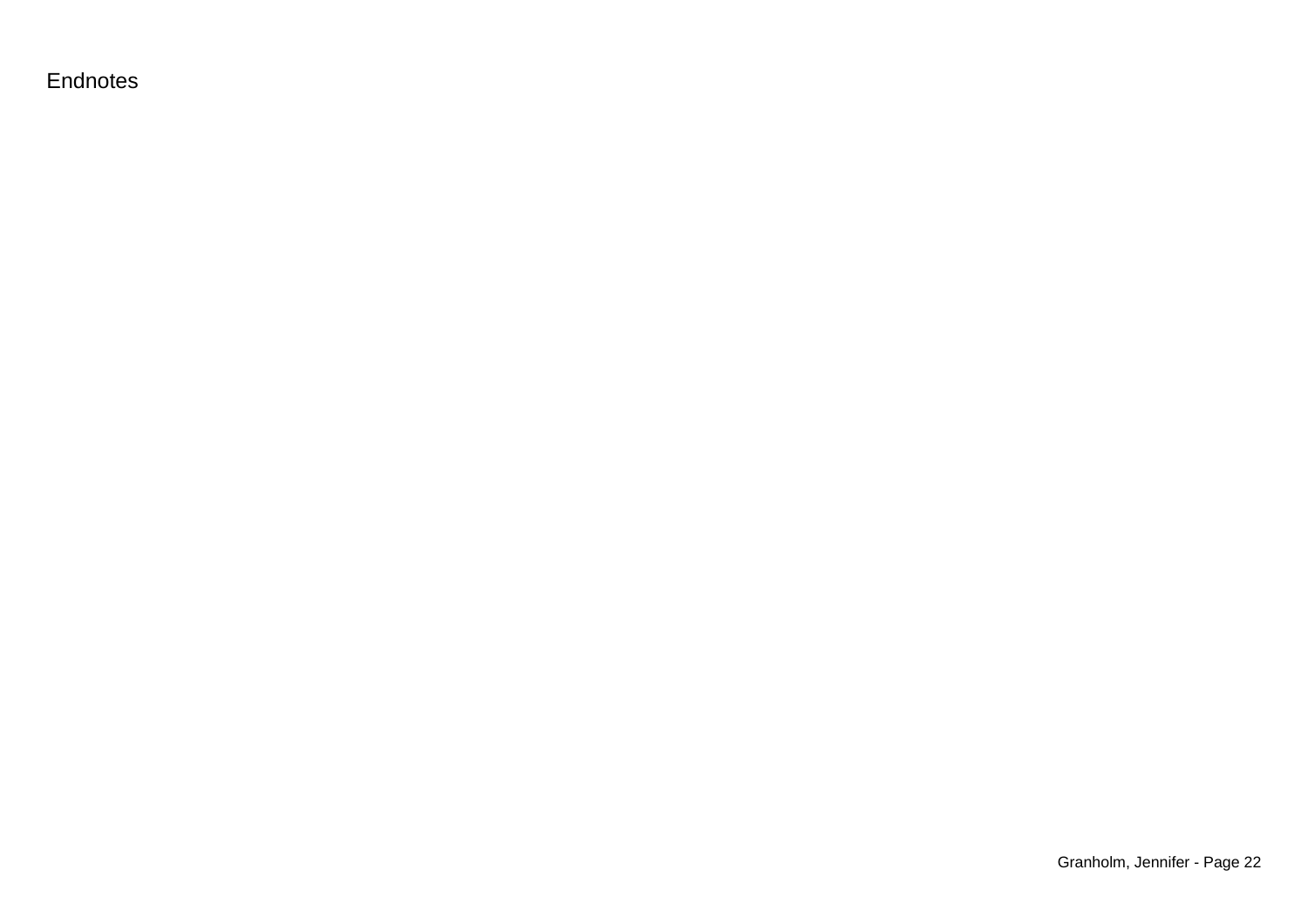Endnotes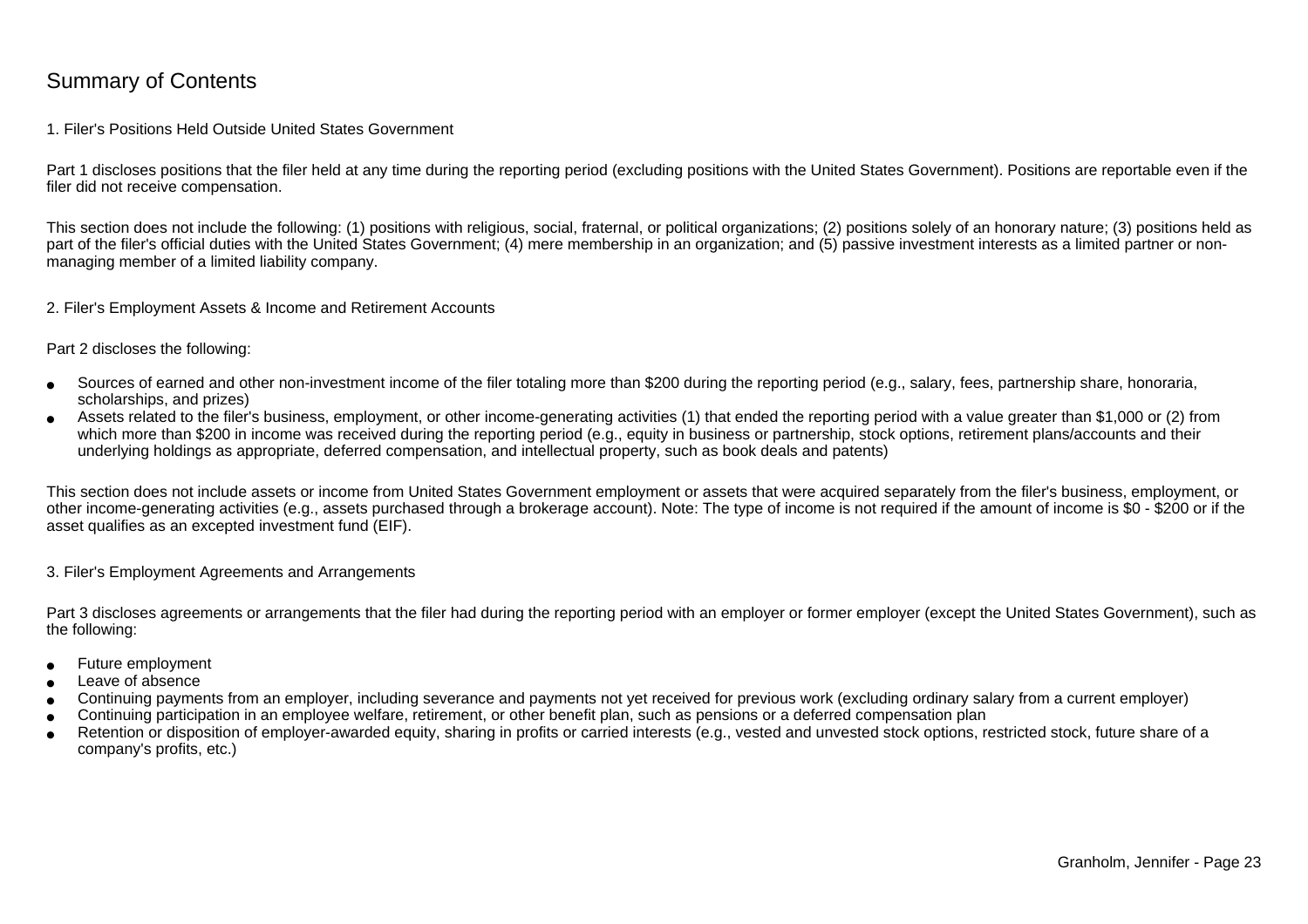### Summary of Contents

### 1. Filer's Positions Held Outside United States Government

Part 1 discloses positions that the filer held at any time during the reporting period (excluding positions with the United States Government). Positions are reportable even if the filer did not receive compensation.

This section does not include the following: (1) positions with religious, social, fraternal, or political organizations; (2) positions solely of an honorary nature; (3) positions held aspart of the filer's official duties with the United States Government; (4) mere membership in an organization; and (5) passive investment interests as a limited partner or nonmanaging member of a limited liability company.

2. Filer's Employment Assets & Income and Retirement Accounts

Part 2 discloses the following:

- ●Sources of earned and other non-investment income of the filer totaling more than \$200 during the reporting period (e.g., salary, fees, partnership share, honoraria,scholarships, and prizes)
- ● Assets related to the filer's business, employment, or other income-generating activities (1) that ended the reporting period with a value greater than \$1,000 or (2) fromwhich more than \$200 in income was received during the reporting period (e.g., equity in business or partnership, stock options, retirement plans/accounts and their underlying holdings as appropriate, deferred compensation, and intellectual property, such as book deals and patents)

This section does not include assets or income from United States Government employment or assets that were acquired separately from the filer's business, employment, or other income-generating activities (e.g., assets purchased through a brokerage account). Note: The type of income is not required if the amount of income is \$0 - \$200 or if theasset qualifies as an excepted investment fund (EIF).

3. Filer's Employment Agreements and Arrangements

Part 3 discloses agreements or arrangements that the filer had during the reporting period with an employer or former employer (except the United States Government), such as the following:

- ●Future employment
- ●Leave of absence
- ●Continuing payments from an employer, including severance and payments not yet received for previous work (excluding ordinary salary from a current employer)
- ●Continuing participation in an employee welfare, retirement, or other benefit plan, such as pensions or a deferred compensation plan
- ● Retention or disposition of employer-awarded equity, sharing in profits or carried interests (e.g., vested and unvested stock options, restricted stock, future share of acompany's profits, etc.)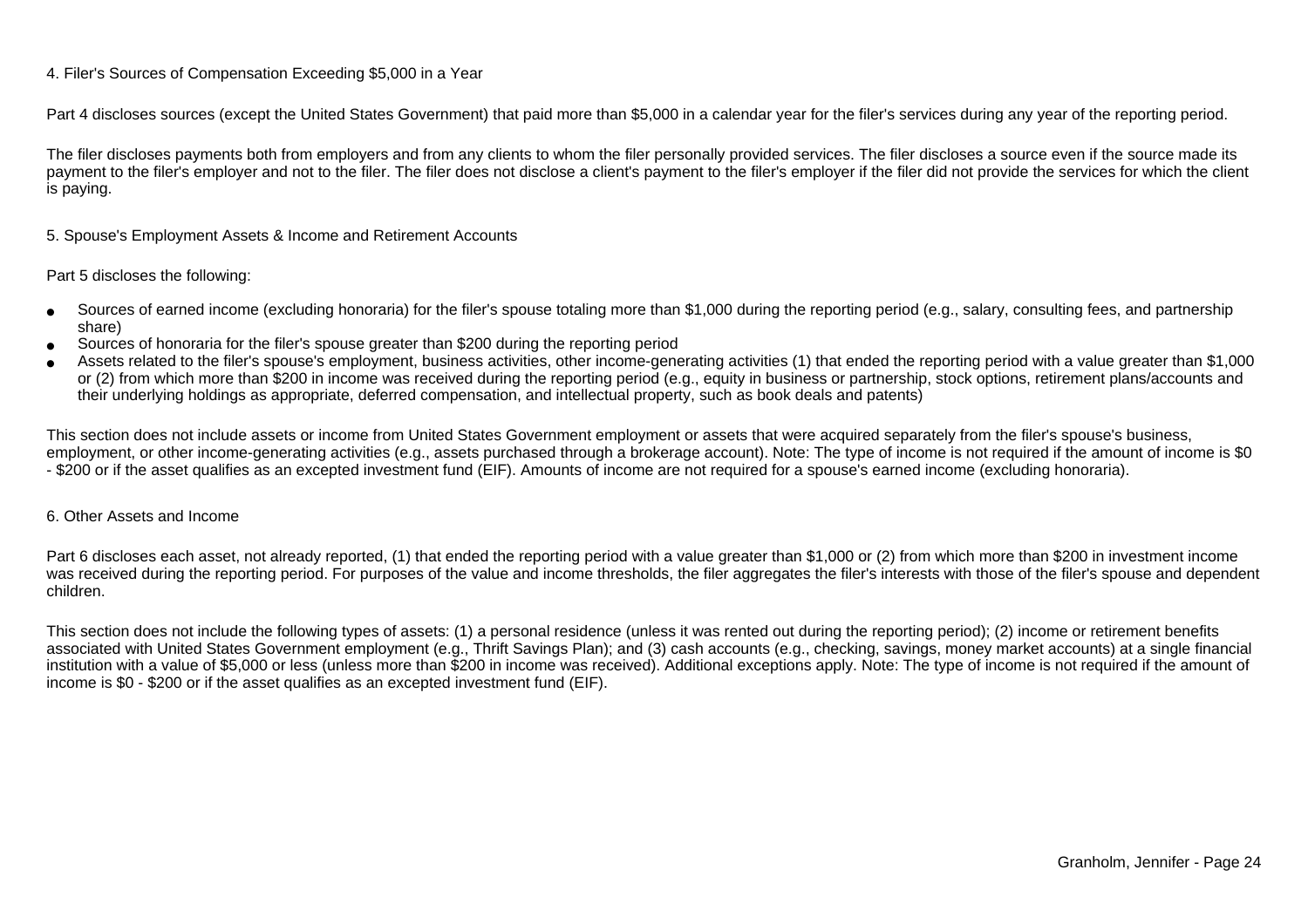### 4. Filer's Sources of Compensation Exceeding \$5,000 in a Year

Part 4 discloses sources (except the United States Government) that paid more than \$5,000 in a calendar year for the filer's services during any year of the reporting period.

The filer discloses payments both from employers and from any clients to whom the filer personally provided services. The filer discloses a source even if the source made itspayment to the filer's employer and not to the filer. The filer does not disclose a client's payment to the filer's employer if the filer did not provide the services for which the client is paying.

5. Spouse's Employment Assets & Income and Retirement Accounts

#### Part 5 discloses the following:

- ●Sources of earned income (excluding honoraria) for the filer's spouse totaling more than \$1,000 during the reporting period (e.g., salary, consulting fees, and partnershipshare)
- ●Sources of honoraria for the filer's spouse greater than \$200 during the reporting period
- ● Assets related to the filer's spouse's employment, business activities, other income-generating activities (1) that ended the reporting period with a value greater than \$1,000or (2) from which more than \$200 in income was received during the reporting period (e.g., equity in business or partnership, stock options, retirement plans/accounts and their underlying holdings as appropriate, deferred compensation, and intellectual property, such as book deals and patents)

This section does not include assets or income from United States Government employment or assets that were acquired separately from the filer's spouse's business,employment, or other income-generating activities (e.g., assets purchased through a brokerage account). Note: The type of income is not required if the amount of income is \$0 - \$200 or if the asset qualifies as an excepted investment fund (EIF). Amounts of income are not required for a spouse's earned income (excluding honoraria).

### 6. Other Assets and Income

Part 6 discloses each asset, not already reported, (1) that ended the reporting period with a value greater than \$1,000 or (2) from which more than \$200 in investment income was received during the reporting period. For purposes of the value and income thresholds, the filer aggregates the filer's interests with those of the filer's spouse and dependentchildren.

This section does not include the following types of assets: (1) a personal residence (unless it was rented out during the reporting period); (2) income or retirement benefits associated with United States Government employment (e.g., Thrift Savings Plan); and (3) cash accounts (e.g., checking, savings, money market accounts) at a single financial institution with a value of \$5,000 or less (unless more than \$200 in income was received). Additional exceptions apply. Note: The type of income is not required if the amount ofincome is \$0 - \$200 or if the asset qualifies as an excepted investment fund (EIF).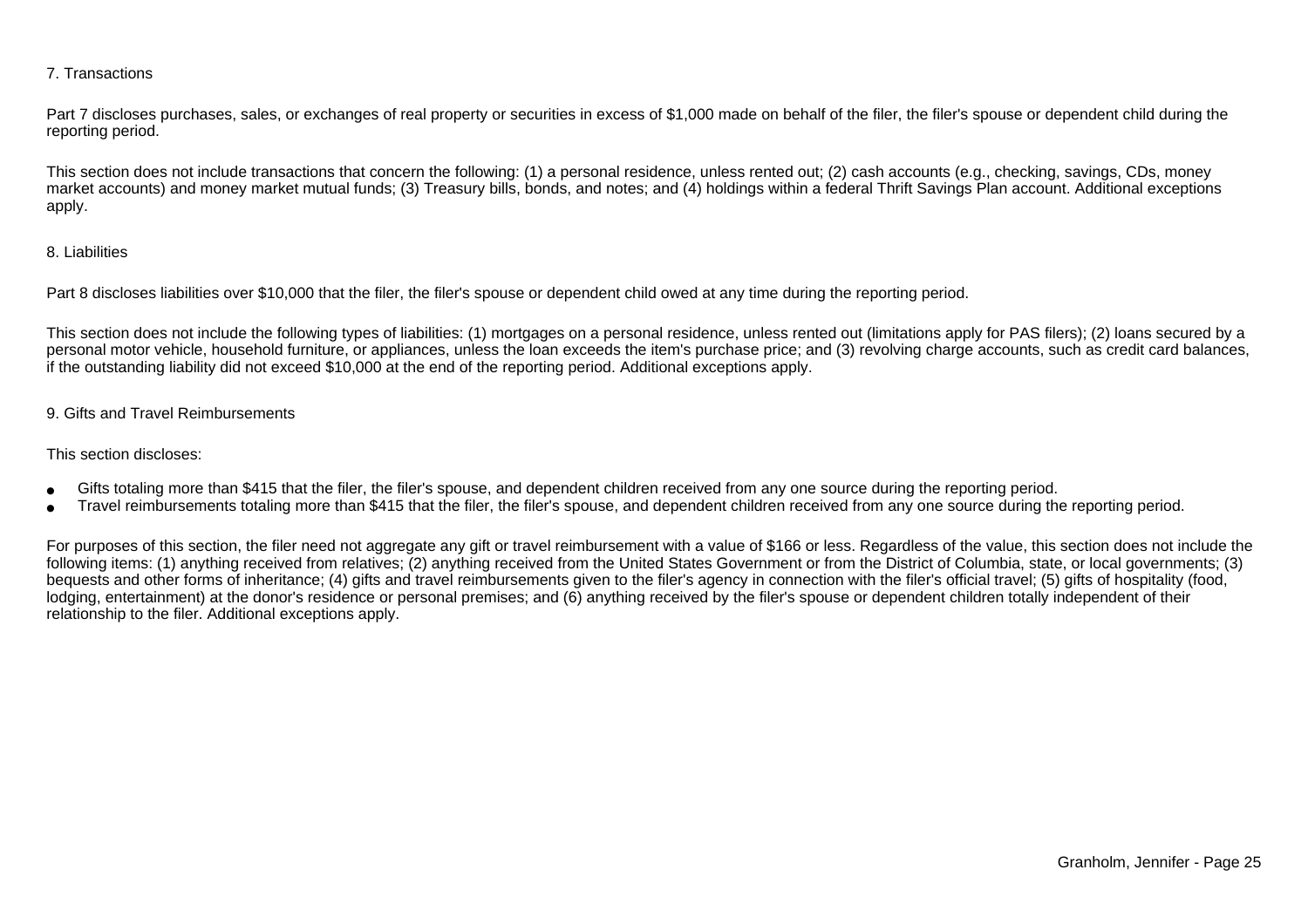### 7. Transactions

Part 7 discloses purchases, sales, or exchanges of real property or securities in excess of \$1,000 made on behalf of the filer, the filer's spouse or dependent child during the reporting period.

This section does not include transactions that concern the following: (1) a personal residence, unless rented out; (2) cash accounts (e.g., checking, savings, CDs, money market accounts) and money market mutual funds; (3) Treasury bills, bonds, and notes; and (4) holdings within a federal Thrift Savings Plan account. Additional exceptionsapply.

### 8. Liabilities

Part 8 discloses liabilities over \$10,000 that the filer, the filer's spouse or dependent child owed at any time during the reporting period.

This section does not include the following types of liabilities: (1) mortgages on a personal residence, unless rented out (limitations apply for PAS filers); (2) loans secured by a personal motor vehicle, household furniture, or appliances, unless the loan exceeds the item's purchase price; and (3) revolving charge accounts, such as credit card balances,if the outstanding liability did not exceed \$10,000 at the end of the reporting period. Additional exceptions apply.

### 9. Gifts and Travel Reimbursements

### This section discloses:

- ●Gifts totaling more than \$415 that the filer, the filer's spouse, and dependent children received from any one source during the reporting period.
- ●Travel reimbursements totaling more than \$415 that the filer, the filer's spouse, and dependent children received from any one source during the reporting period.

For purposes of this section, the filer need not aggregate any gift or travel reimbursement with a value of \$166 or less. Regardless of the value, this section does not include the following items: (1) anything received from relatives; (2) anything received from the United States Government or from the District of Columbia, state, or local governments; (3)bequests and other forms of inheritance; (4) gifts and travel reimbursements given to the filer's agency in connection with the filer's official travel; (5) gifts of hospitality (food,lodging, entertainment) at the donor's residence or personal premises; and (6) anything received by the filer's spouse or dependent children totally independent of theirrelationship to the filer. Additional exceptions apply.